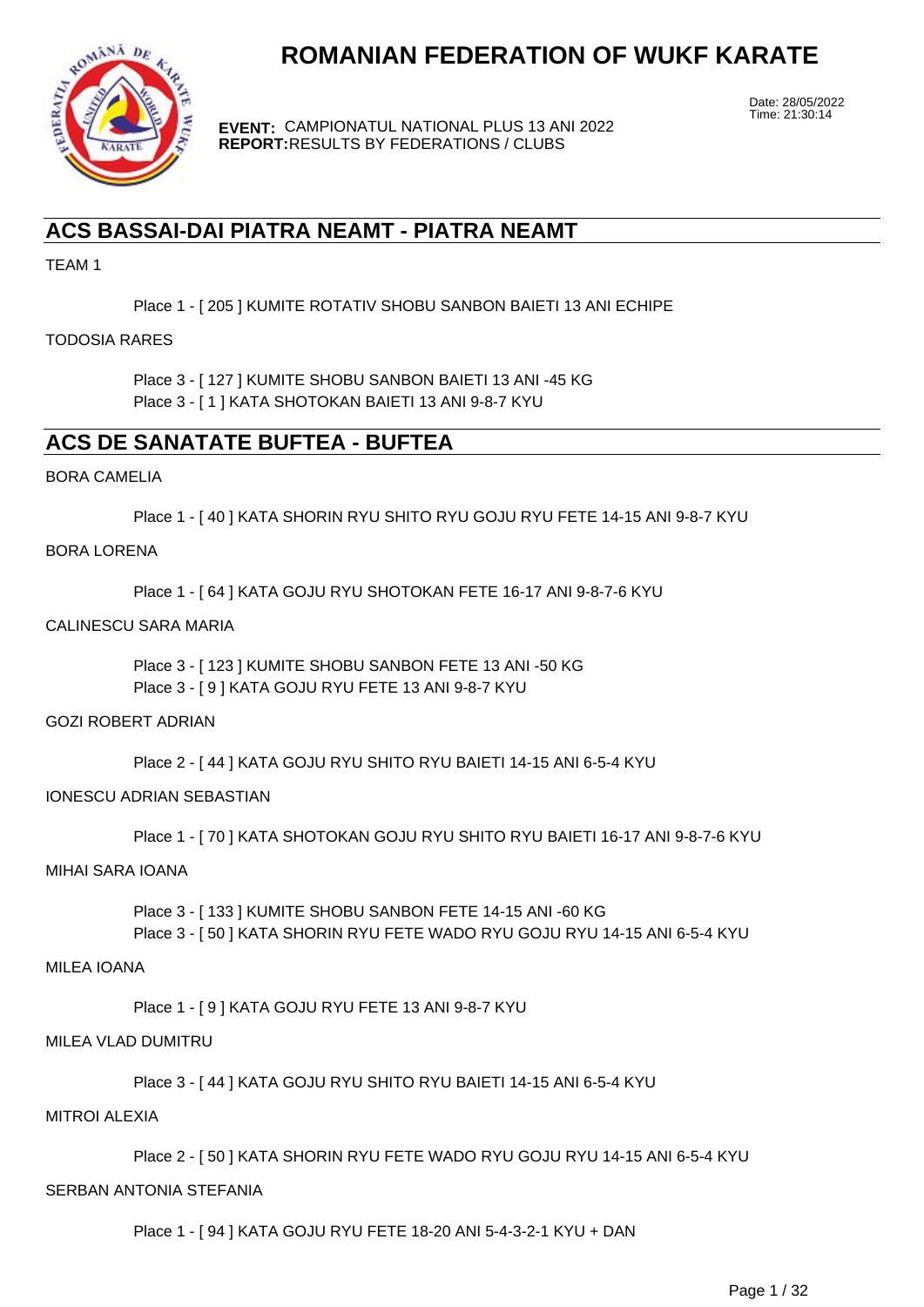

**EVENT:** CAMPIONATUL NATIONAL PLUS 13 ANI 2022 **REPORT:** RESULTS BY FEDERATIONS / CLUBS

Date: 28/05/2022 Time: 21:30:14

## **ACS BASSAI-DAI PIATRA NEAMT - PIATRA NEAMT**

TEAM 1

Place 1 - [ 205 ] KUMITE ROTATIV SHOBU SANBON BAIETI 13 ANI ECHIPE

#### TODOSIA RARES

Place 3 - [ 127 ] KUMITE SHOBU SANBON BAIETI 13 ANI -45 KG Place 3 - [ 1 ] KATA SHOTOKAN BAIETI 13 ANI 9-8-7 KYU

## **ACS DE SANATATE BUFTEA - BUFTEA**

#### BORA CAMELIA

Place 1 - [ 40 ] KATA SHORIN RYU SHITO RYU GOJU RYU FETE 14-15 ANI 9-8-7 KYU

#### BORA LORENA

Place 1 - [ 64 ] KATA GOJU RYU SHOTOKAN FETE 16-17 ANI 9-8-7-6 KYU

#### CALINESCU SARA MARIA

Place 3 - [ 123 ] KUMITE SHOBU SANBON FETE 13 ANI -50 KG Place 3 - [ 9 ] KATA GOJU RYU FETE 13 ANI 9-8-7 KYU

#### GOZI ROBERT ADRIAN

Place 2 - [ 44 ] KATA GOJU RYU SHITO RYU BAIETI 14-15 ANI 6-5-4 KYU

#### IONESCU ADRIAN SEBASTIAN

Place 1 - [ 70 ] KATA SHOTOKAN GOJU RYU SHITO RYU BAIETI 16-17 ANI 9-8-7-6 KYU

#### MIHAI SARA IOANA

Place 3 - [ 133 ] KUMITE SHOBU SANBON FETE 14-15 ANI -60 KG Place 3 - [ 50 ] KATA SHORIN RYU FETE WADO RYU GOJU RYU 14-15 ANI 6-5-4 KYU

#### MILEA IOANA

Place 1 - [ 9 ] KATA GOJU RYU FETE 13 ANI 9-8-7 KYU

#### MILEA VLAD DUMITRU

Place 3 - [ 44 ] KATA GOJU RYU SHITO RYU BAIETI 14-15 ANI 6-5-4 KYU

#### MITROI ALEXIA

Place 2 - [ 50 ] KATA SHORIN RYU FETE WADO RYU GOJU RYU 14-15 ANI 6-5-4 KYU

#### SERBAN ANTONIA STEFANIA

Place 1 - [ 94 ] KATA GOJU RYU FETE 18-20 ANI 5-4-3-2-1 KYU + DAN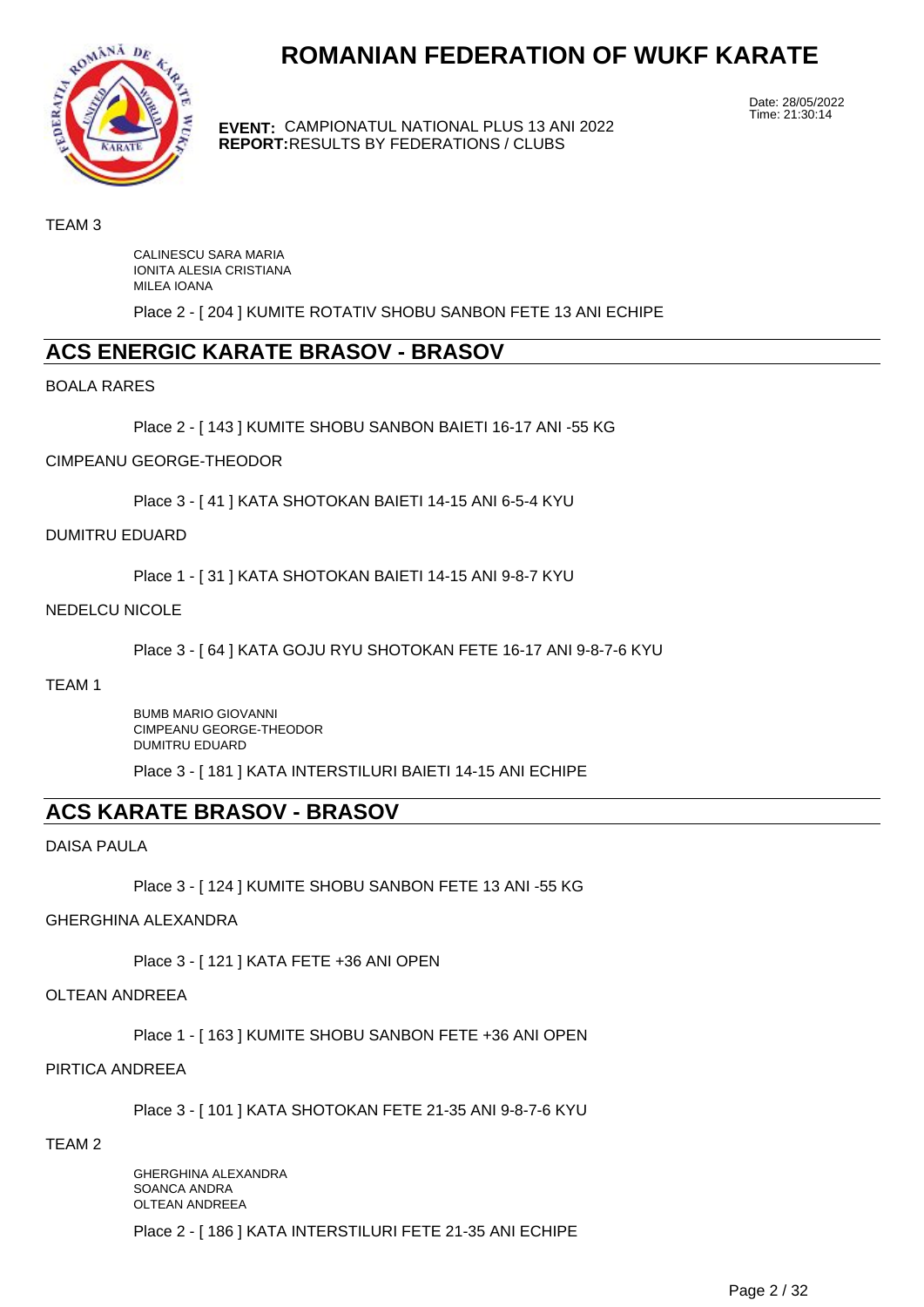

**EVENT:** CAMPIONATUL NATIONAL PLUS 13 ANI 2022 **REPORT:** RESULTS BY FEDERATIONS / CLUBS

Date: 28/05/2022 Time: 21:30:14

#### TEAM 3

CALINESCU SARA MARIA IONITA ALESIA CRISTIANA MILEA IOANA

Place 2 - [ 204 ] KUMITE ROTATIV SHOBU SANBON FETE 13 ANI ECHIPE

## **ACS ENERGIC KARATE BRASOV - BRASOV**

BOALA RARES

Place 2 - [ 143 ] KUMITE SHOBU SANBON BAIETI 16-17 ANI -55 KG

#### CIMPEANU GEORGE-THEODOR

Place 3 - [ 41 ] KATA SHOTOKAN BAIETI 14-15 ANI 6-5-4 KYU

#### DUMITRU EDUARD

Place 1 - [ 31 ] KATA SHOTOKAN BAIETI 14-15 ANI 9-8-7 KYU

#### NEDELCU NICOLE

Place 3 - [ 64 ] KATA GOJU RYU SHOTOKAN FETE 16-17 ANI 9-8-7-6 KYU

#### TEAM 1

BUMB MARIO GIOVANNI CIMPEANU GEORGE-THEODOR DUMITRU EDUARD

Place 3 - [ 181 ] KATA INTERSTILURI BAIETI 14-15 ANI ECHIPE

## **ACS KARATE BRASOV - BRASOV**

DAISA PAULA

Place 3 - [ 124 ] KUMITE SHOBU SANBON FETE 13 ANI -55 KG

#### GHERGHINA ALEXANDRA

Place 3 - [ 121 ] KATA FETE +36 ANI OPEN

#### OLTEAN ANDREEA

Place 1 - [ 163 ] KUMITE SHOBU SANBON FETE +36 ANI OPEN

#### PIRTICA ANDREEA

Place 3 - [ 101 ] KATA SHOTOKAN FETE 21-35 ANI 9-8-7-6 KYU

#### TEAM 2

GHERGHINA ALEXANDRA SOANCA ANDRA OLTEAN ANDREEA Place 2 - [ 186 ] KATA INTERSTILURI FETE 21-35 ANI ECHIPE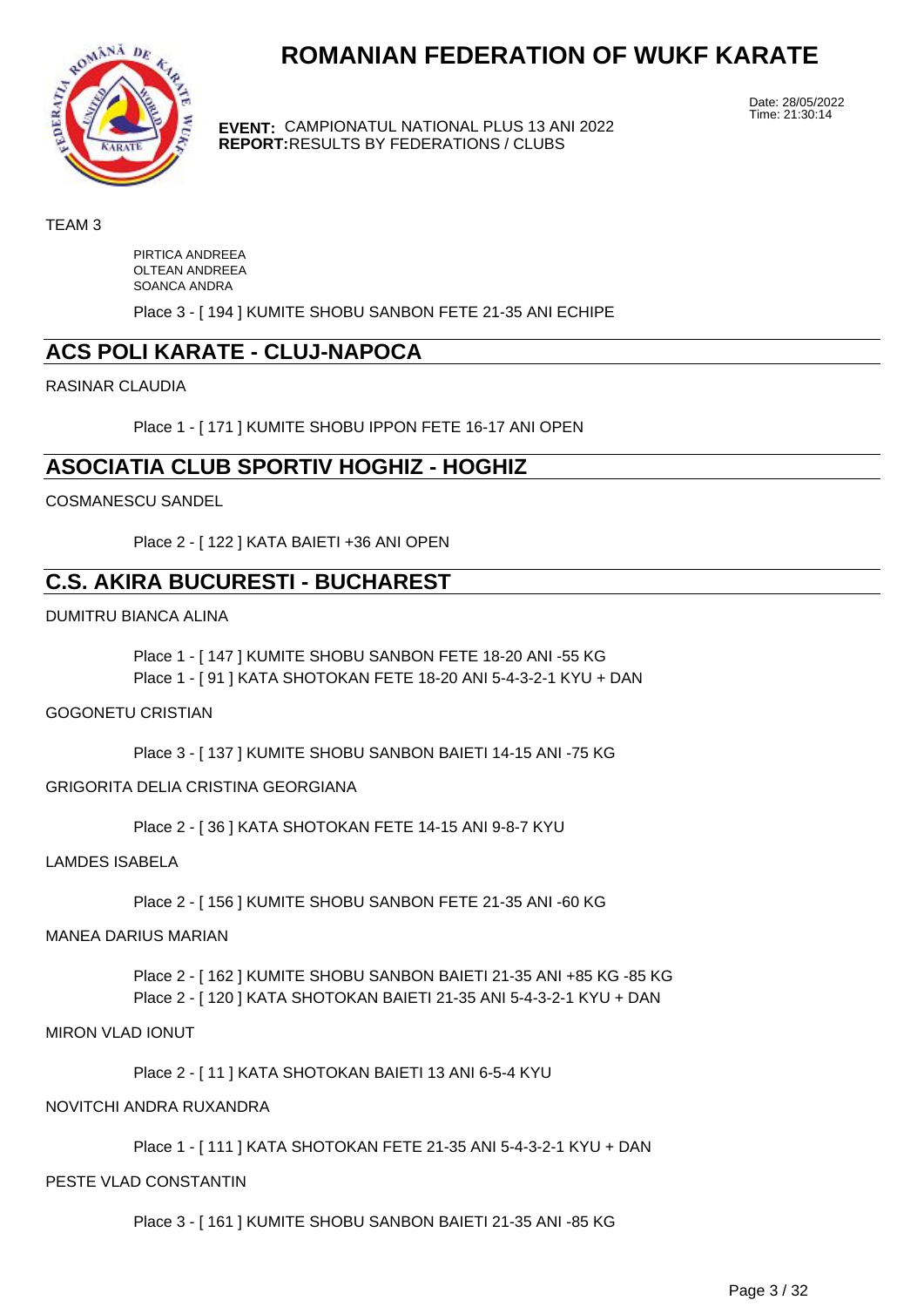

**EVENT:** CAMPIONATUL NATIONAL PLUS 13 ANI 2022 **REPORT:** RESULTS BY FEDERATIONS / CLUBS

Date: 28/05/2022 Time: 21:30:14

TEAM 3

PIRTICA ANDREEA OLTEAN ANDREEA SOANCA ANDRA

Place 3 - [ 194 ] KUMITE SHOBU SANBON FETE 21-35 ANI ECHIPE

## **ACS POLI KARATE - CLUJ-NAPOCA**

RASINAR CLAUDIA

Place 1 - [ 171 ] KUMITE SHOBU IPPON FETE 16-17 ANI OPEN

## **ASOCIATIA CLUB SPORTIV HOGHIZ - HOGHIZ**

COSMANESCU SANDEL

Place 2 - [ 122 ] KATA BAIETI +36 ANI OPEN

## **C.S. AKIRA BUCURESTI - BUCHAREST**

DUMITRU BIANCA ALINA

Place 1 - [ 147 ] KUMITE SHOBU SANBON FETE 18-20 ANI -55 KG Place 1 - [ 91 ] KATA SHOTOKAN FETE 18-20 ANI 5-4-3-2-1 KYU + DAN

GOGONETU CRISTIAN

Place 3 - [ 137 ] KUMITE SHOBU SANBON BAIETI 14-15 ANI -75 KG

#### GRIGORITA DELIA CRISTINA GEORGIANA

Place 2 - [ 36 ] KATA SHOTOKAN FETE 14-15 ANI 9-8-7 KYU

LAMDES ISABELA

Place 2 - [ 156 ] KUMITE SHOBU SANBON FETE 21-35 ANI -60 KG

#### MANEA DARIUS MARIAN

Place 2 - [ 162 ] KUMITE SHOBU SANBON BAIETI 21-35 ANI +85 KG -85 KG Place 2 - [ 120 ] KATA SHOTOKAN BAIETI 21-35 ANI 5-4-3-2-1 KYU + DAN

#### MIRON VLAD IONUT

Place 2 - [ 11 ] KATA SHOTOKAN BAIETI 13 ANI 6-5-4 KYU

#### NOVITCHI ANDRA RUXANDRA

Place 1 - [ 111 ] KATA SHOTOKAN FETE 21-35 ANI 5-4-3-2-1 KYU + DAN

#### PESTE VLAD CONSTANTIN

Place 3 - [ 161 ] KUMITE SHOBU SANBON BAIETI 21-35 ANI -85 KG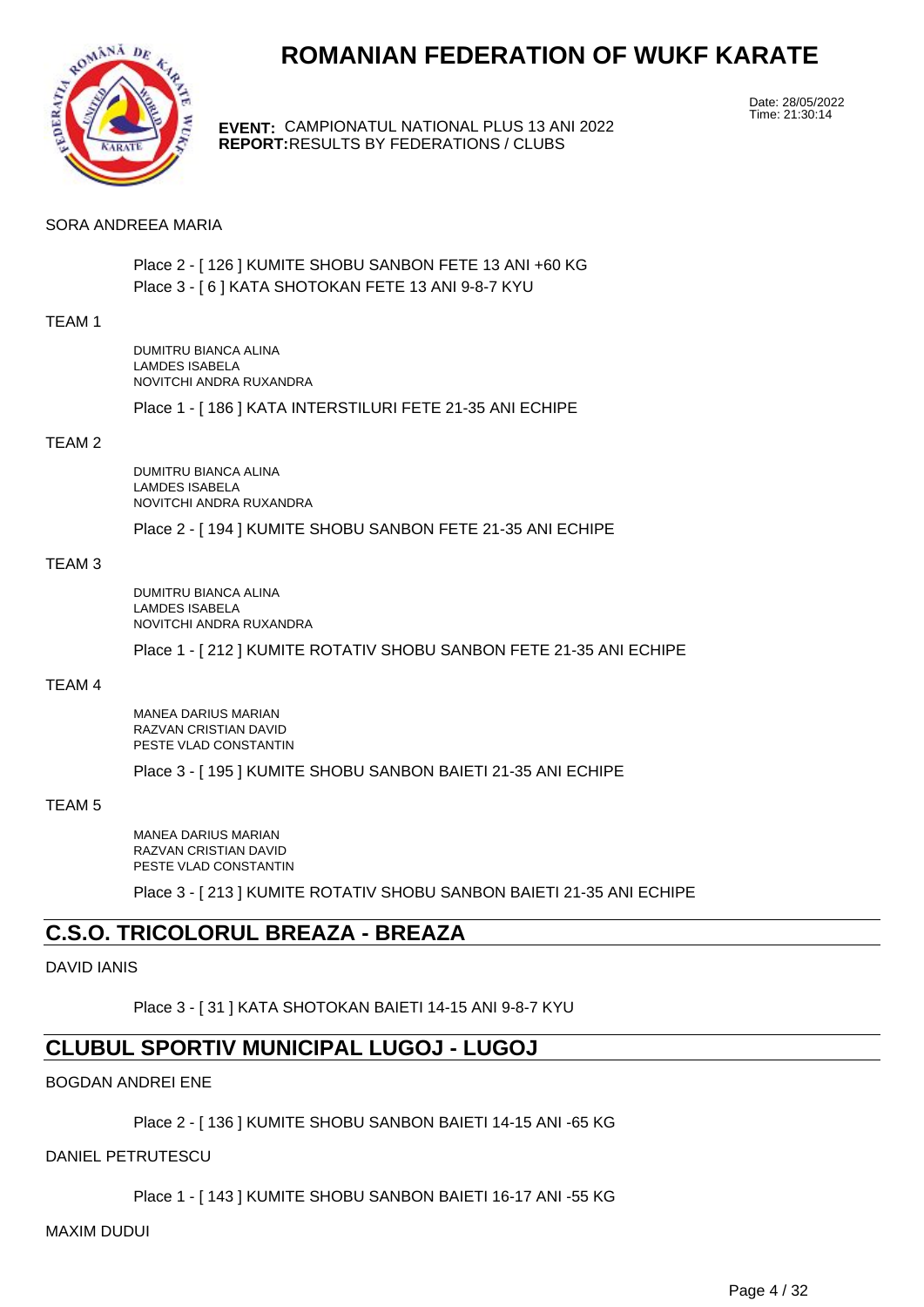

**EVENT:** CAMPIONATUL NATIONAL PLUS 13 ANI 2022 **REPORT:** RESULTS BY FEDERATIONS / CLUBS

Date: 28/05/2022 Time: 21:30:14

#### SORA ANDREEA MARIA

Place 2 - [ 126 ] KUMITE SHOBU SANBON FETE 13 ANI +60 KG Place 3 - [ 6 ] KATA SHOTOKAN FETE 13 ANI 9-8-7 KYU

#### TEAM 1

DUMITRU BIANCA ALINA LAMDES ISABELA NOVITCHI ANDRA RUXANDRA

Place 1 - [ 186 ] KATA INTERSTILURI FETE 21-35 ANI ECHIPE

#### TEAM 2

DUMITRU BIANCA ALINA LAMDES ISABELA NOVITCHI ANDRA RUXANDRA

Place 2 - [ 194 ] KUMITE SHOBU SANBON FETE 21-35 ANI ECHIPE

#### TEAM 3

DUMITRU BIANCA ALINA LAMDES ISABELA NOVITCHI ANDRA RUXANDRA

Place 1 - [ 212 ] KUMITE ROTATIV SHOBU SANBON FETE 21-35 ANI ECHIPE

#### TEAM 4

MANEA DARIUS MARIAN RAZVAN CRISTIAN DAVID PESTE VLAD CONSTANTIN

Place 3 - [ 195 ] KUMITE SHOBU SANBON BAIETI 21-35 ANI ECHIPE

#### TEAM 5

MANEA DARIUS MARIAN RAZVAN CRISTIAN DAVID PESTE VLAD CONSTANTIN

Place 3 - [ 213 ] KUMITE ROTATIV SHOBU SANBON BAIETI 21-35 ANI ECHIPE

## **C.S.O. TRICOLORUL BREAZA - BREAZA**

#### DAVID IANIS

Place 3 - [ 31 ] KATA SHOTOKAN BAIETI 14-15 ANI 9-8-7 KYU

## **CLUBUL SPORTIV MUNICIPAL LUGOJ - LUGOJ**

#### BOGDAN ANDREI ENE

Place 2 - [ 136 ] KUMITE SHOBU SANBON BAIETI 14-15 ANI -65 KG

DANIEL PETRUTESCU

Place 1 - [ 143 ] KUMITE SHOBU SANBON BAIETI 16-17 ANI -55 KG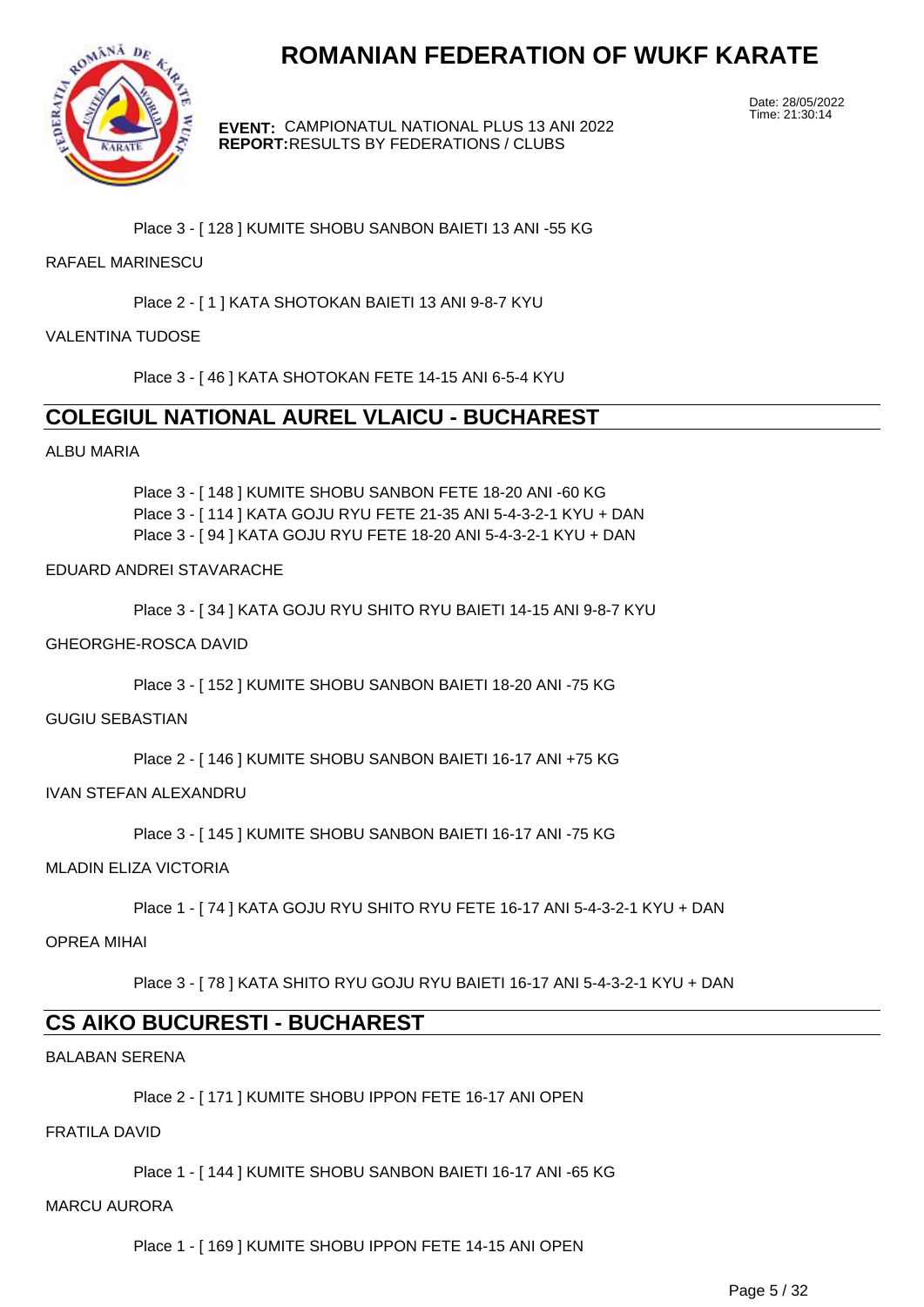

**EVENT:** CAMPIONATUL NATIONAL PLUS 13 ANI 2022 **REPORT:** RESULTS BY FEDERATIONS / CLUBS

Date: 28/05/2022 Time: 21:30:14

Place 3 - [ 128 ] KUMITE SHOBU SANBON BAIETI 13 ANI -55 KG

#### RAFAEL MARINESCU

Place 2 - [ 1 ] KATA SHOTOKAN BAIETI 13 ANI 9-8-7 KYU

#### VALENTINA TUDOSE

Place 3 - [ 46 ] KATA SHOTOKAN FETE 14-15 ANI 6-5-4 KYU

## **COLEGIUL NATIONAL AUREL VLAICU - BUCHAREST**

#### ALBU MARIA

Place 3 - [ 148 ] KUMITE SHOBU SANBON FETE 18-20 ANI -60 KG Place 3 - [ 114 ] KATA GOJU RYU FETE 21-35 ANI 5-4-3-2-1 KYU + DAN Place 3 - [ 94 ] KATA GOJU RYU FETE 18-20 ANI 5-4-3-2-1 KYU + DAN

#### EDUARD ANDREI STAVARACHE

Place 3 - [ 34 ] KATA GOJU RYU SHITO RYU BAIETI 14-15 ANI 9-8-7 KYU

#### GHEORGHE-ROSCA DAVID

Place 3 - [ 152 ] KUMITE SHOBU SANBON BAIETI 18-20 ANI -75 KG

#### GUGIU SEBASTIAN

Place 2 - [ 146 ] KUMITE SHOBU SANBON BAIETI 16-17 ANI +75 KG

#### IVAN STEFAN ALEXANDRU

Place 3 - [ 145 ] KUMITE SHOBU SANBON BAIETI 16-17 ANI -75 KG

MLADIN ELIZA VICTORIA

Place 1 - [ 74 ] KATA GOJU RYU SHITO RYU FETE 16-17 ANI 5-4-3-2-1 KYU + DAN

OPREA MIHAI

Place 3 - [ 78 ] KATA SHITO RYU GOJU RYU BAIETI 16-17 ANI 5-4-3-2-1 KYU + DAN

## **CS AIKO BUCURESTI - BUCHAREST**

BALABAN SERENA

Place 2 - [ 171 ] KUMITE SHOBU IPPON FETE 16-17 ANI OPEN

#### FRATILA DAVID

Place 1 - [ 144 ] KUMITE SHOBU SANBON BAIETI 16-17 ANI -65 KG

#### MARCU AURORA

Place 1 - [ 169 ] KUMITE SHOBU IPPON FETE 14-15 ANI OPEN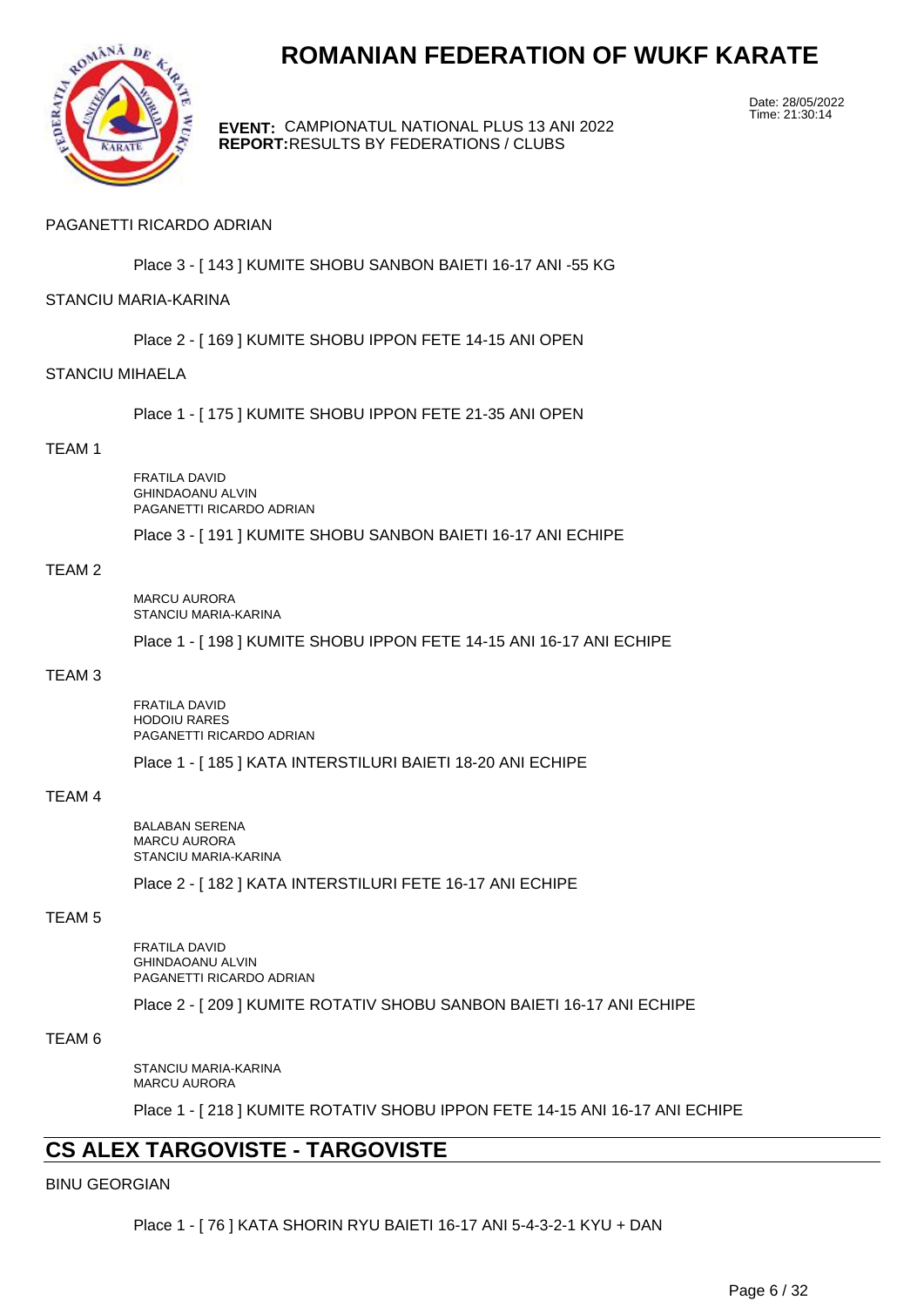

**EVENT:** CAMPIONATUL NATIONAL PLUS 13 ANI 2022 **REPORT:** RESULTS BY FEDERATIONS / CLUBS

Date: 28/05/2022 Time: 21:30:14

#### PAGANETTI RICARDO ADRIAN

Place 3 - [ 143 ] KUMITE SHOBU SANBON BAIETI 16-17 ANI -55 KG

#### STANCIU MARIA-KARINA

Place 2 - [ 169 ] KUMITE SHOBU IPPON FETE 14-15 ANI OPEN

#### STANCIU MIHAELA

Place 1 - [ 175 ] KUMITE SHOBU IPPON FETE 21-35 ANI OPEN

#### TEAM 1

FRATILA DAVID GHINDAOANU ALVIN PAGANETTI RICARDO ADRIAN

Place 3 - [ 191 ] KUMITE SHOBU SANBON BAIETI 16-17 ANI ECHIPE

#### TEAM 2

MARCU AURORA STANCIU MARIA-KARINA

Place 1 - [ 198 ] KUMITE SHOBU IPPON FETE 14-15 ANI 16-17 ANI ECHIPE

#### TEAM 3

FRATILA DAVID HODOIU RARES PAGANETTI RICARDO ADRIAN

Place 1 - [ 185 ] KATA INTERSTILURI BAIETI 18-20 ANI ECHIPE

#### TEAM 4

BALABAN SERENA MARCU AURORA STANCIU MARIA-KARINA

Place 2 - [ 182 ] KATA INTERSTILURI FETE 16-17 ANI ECHIPE

#### TEAM 5

FRATILA DAVID GHINDAOANU ALVIN PAGANETTI RICARDO ADRIAN

Place 2 - [ 209 ] KUMITE ROTATIV SHOBU SANBON BAIETI 16-17 ANI ECHIPE

#### TEAM 6

STANCIU MARIA-KARINA MARCU AURORA

Place 1 - [ 218 ] KUMITE ROTATIV SHOBU IPPON FETE 14-15 ANI 16-17 ANI ECHIPE

## **CS ALEX TARGOVISTE - TARGOVISTE**

#### BINU GEORGIAN

Place 1 - [ 76 ] KATA SHORIN RYU BAIETI 16-17 ANI 5-4-3-2-1 KYU + DAN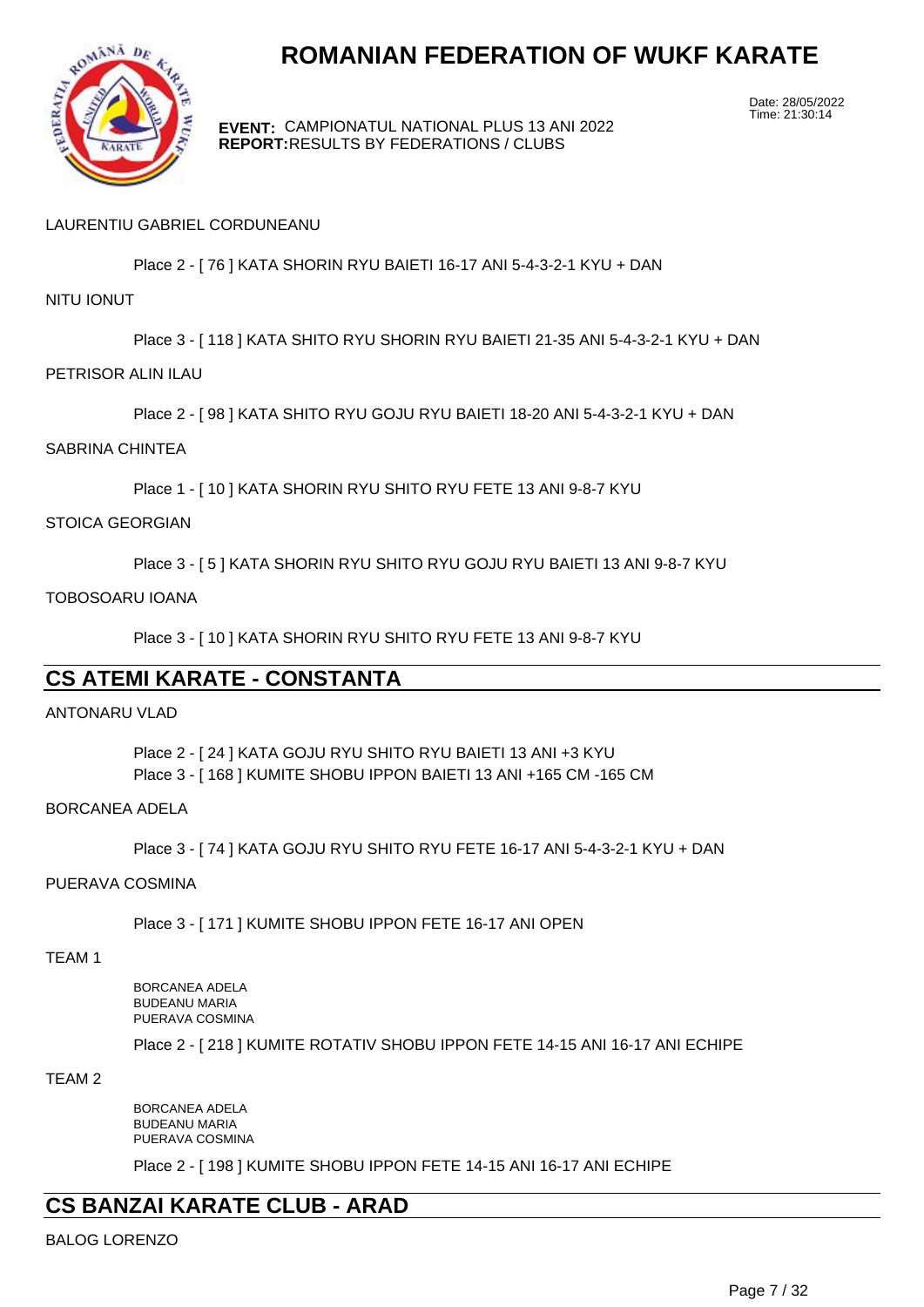

**EVENT:** CAMPIONATUL NATIONAL PLUS 13 ANI 2022 **REPORT:** RESULTS BY FEDERATIONS / CLUBS

Date: 28/05/2022 Time: 21:30:14

#### LAURENTIU GABRIEL CORDUNEANU

Place 2 - [ 76 ] KATA SHORIN RYU BAIETI 16-17 ANI 5-4-3-2-1 KYU + DAN

#### NITU IONUT

Place 3 - [ 118 ] KATA SHITO RYU SHORIN RYU BAIETI 21-35 ANI 5-4-3-2-1 KYU + DAN

#### PETRISOR ALIN ILAU

Place 2 - [ 98 ] KATA SHITO RYU GOJU RYU BAIETI 18-20 ANI 5-4-3-2-1 KYU + DAN

#### SABRINA CHINTEA

Place 1 - [ 10 ] KATA SHORIN RYU SHITO RYU FETE 13 ANI 9-8-7 KYU

#### STOICA GEORGIAN

Place 3 - [ 5 ] KATA SHORIN RYU SHITO RYU GOJU RYU BAIETI 13 ANI 9-8-7 KYU

#### TOBOSOARU IOANA

Place 3 - [ 10 ] KATA SHORIN RYU SHITO RYU FETE 13 ANI 9-8-7 KYU

## **CS ATEMI KARATE - CONSTANTA**

#### ANTONARU VLAD

Place 2 - [ 24 ] KATA GOJU RYU SHITO RYU BAIETI 13 ANI +3 KYU Place 3 - [ 168 ] KUMITE SHOBU IPPON BAIETI 13 ANI +165 CM -165 CM

#### BORCANEA ADELA

Place 3 - [ 74 ] KATA GOJU RYU SHITO RYU FETE 16-17 ANI 5-4-3-2-1 KYU + DAN

#### PUERAVA COSMINA

Place 3 - [ 171 ] KUMITE SHOBU IPPON FETE 16-17 ANI OPEN

TEAM 1

BORCANEA ADELA BUDEANU MARIA PUERAVA COSMINA

Place 2 - [ 218 ] KUMITE ROTATIV SHOBU IPPON FETE 14-15 ANI 16-17 ANI ECHIPE

#### TEAM 2

BORCANEA ADELA BUDEANU MARIA PUERAVA COSMINA

Place 2 - [ 198 ] KUMITE SHOBU IPPON FETE 14-15 ANI 16-17 ANI ECHIPE

## **CS BANZAI KARATE CLUB - ARAD**

BALOG LORENZO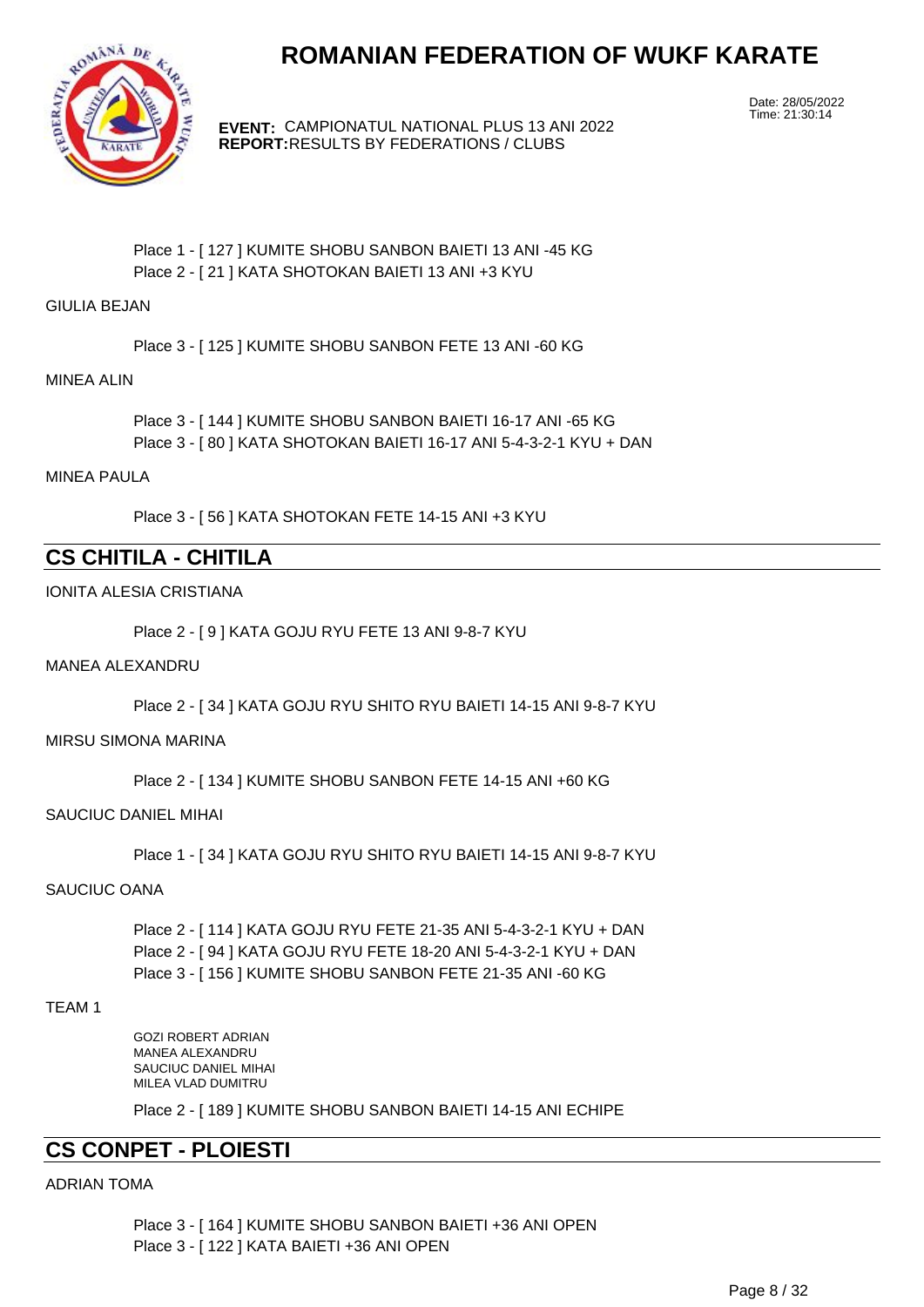

**EVENT:** CAMPIONATUL NATIONAL PLUS 13 ANI 2022 **REPORT:** RESULTS BY FEDERATIONS / CLUBS

Date: 28/05/2022 Time: 21:30:14

Place 1 - [ 127 ] KUMITE SHOBU SANBON BAIETI 13 ANI -45 KG Place 2 - [ 21 ] KATA SHOTOKAN BAIETI 13 ANI +3 KYU

GIULIA BEJAN

Place 3 - [ 125 ] KUMITE SHOBU SANBON FETE 13 ANI -60 KG

#### MINEA ALIN

Place 3 - [ 144 ] KUMITE SHOBU SANBON BAIETI 16-17 ANI -65 KG Place 3 - [ 80 ] KATA SHOTOKAN BAIETI 16-17 ANI 5-4-3-2-1 KYU + DAN

#### MINEA PAULA

Place 3 - [ 56 ] KATA SHOTOKAN FETE 14-15 ANI +3 KYU

## **CS CHITILA - CHITILA**

#### IONITA ALESIA CRISTIANA

Place 2 - [ 9 ] KATA GOJU RYU FETE 13 ANI 9-8-7 KYU

#### MANEA ALEXANDRU

Place 2 - [ 34 ] KATA GOJU RYU SHITO RYU BAIETI 14-15 ANI 9-8-7 KYU

#### MIRSU SIMONA MARINA

Place 2 - [ 134 ] KUMITE SHOBU SANBON FETE 14-15 ANI +60 KG

#### SAUCIUC DANIEL MIHAI

Place 1 - [ 34 ] KATA GOJU RYU SHITO RYU BAIETI 14-15 ANI 9-8-7 KYU

#### SAUCIUC OANA

Place 2 - [ 114 ] KATA GOJU RYU FETE 21-35 ANI 5-4-3-2-1 KYU + DAN Place 2 - [ 94 ] KATA GOJU RYU FETE 18-20 ANI 5-4-3-2-1 KYU + DAN Place 3 - [ 156 ] KUMITE SHOBU SANBON FETE 21-35 ANI -60 KG

#### TEAM 1

GOZI ROBERT ADRIAN MANEA ALEXANDRU SAUCIUC DANIEL MIHAI MILEA VLAD DUMITRU

Place 2 - [ 189 ] KUMITE SHOBU SANBON BAIETI 14-15 ANI ECHIPE

## **CS CONPET - PLOIESTI**

#### ADRIAN TOMA

Place 3 - [ 164 ] KUMITE SHOBU SANBON BAIETI +36 ANI OPEN Place 3 - [ 122 ] KATA BAIETI +36 ANI OPEN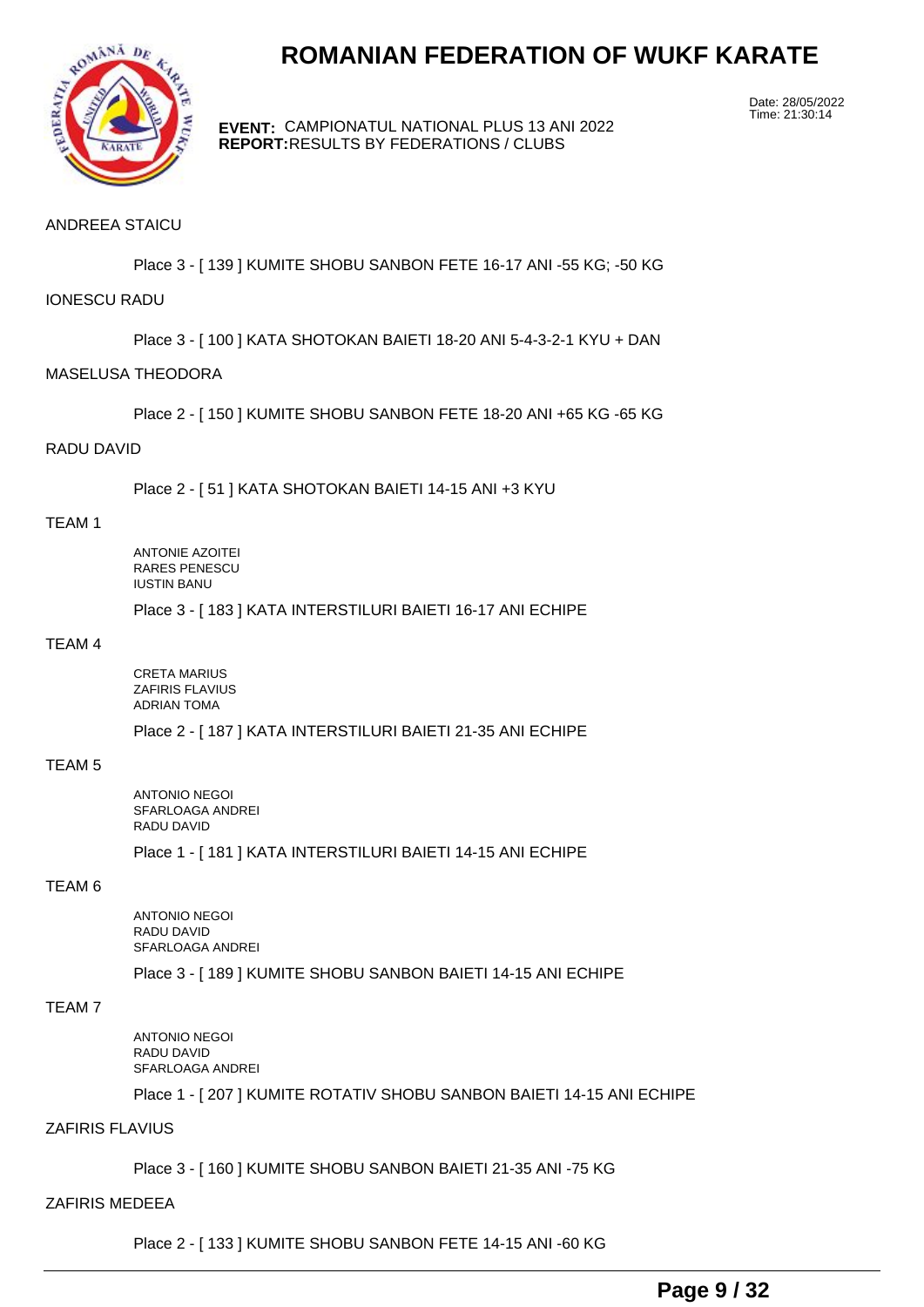

**EVENT:** CAMPIONATUL NATIONAL PLUS 13 ANI 2022 **REPORT:** RESULTS BY FEDERATIONS / CLUBS

Date: 28/05/2022 Time: 21:30:14

#### ANDREEA STAICU

Place 3 - [ 139 ] KUMITE SHOBU SANBON FETE 16-17 ANI -55 KG; -50 KG

#### IONESCU RADU

Place 3 - [ 100 ] KATA SHOTOKAN BAIETI 18-20 ANI 5-4-3-2-1 KYU + DAN

#### MASELUSA THEODORA

Place 2 - [ 150 ] KUMITE SHOBU SANBON FETE 18-20 ANI +65 KG -65 KG

#### RADU DAVID

Place 2 - [ 51 ] KATA SHOTOKAN BAIETI 14-15 ANI +3 KYU

#### TEAM 1

ANTONIE AZOITEI RARES PENESCU IUSTIN BANU

Place 3 - [ 183 ] KATA INTERSTILURI BAIETI 16-17 ANI ECHIPE

#### TEAM 4

CRETA MARIUS ZAFIRIS FLAVIUS ADRIAN TOMA

Place 2 - [ 187 ] KATA INTERSTILURI BAIETI 21-35 ANI ECHIPE

### TEAM 5

ANTONIO NEGOI SFARLOAGA ANDREI RADU DAVID

Place 1 - [ 181 ] KATA INTERSTILURI BAIETI 14-15 ANI ECHIPE

#### TEAM 6

ANTONIO NEGOI RADU DAVID SFARLOAGA ANDREI

Place 3 - [ 189 ] KUMITE SHOBU SANBON BAIETI 14-15 ANI ECHIPE

#### TEAM 7

ANTONIO NEGOI RADU DAVID SFARLOAGA ANDREI

Place 1 - [ 207 ] KUMITE ROTATIV SHOBU SANBON BAIETI 14-15 ANI ECHIPE

#### ZAFIRIS FLAVIUS

Place 3 - [ 160 ] KUMITE SHOBU SANBON BAIETI 21-35 ANI -75 KG

#### ZAFIRIS MEDEEA

Place 2 - [ 133 ] KUMITE SHOBU SANBON FETE 14-15 ANI -60 KG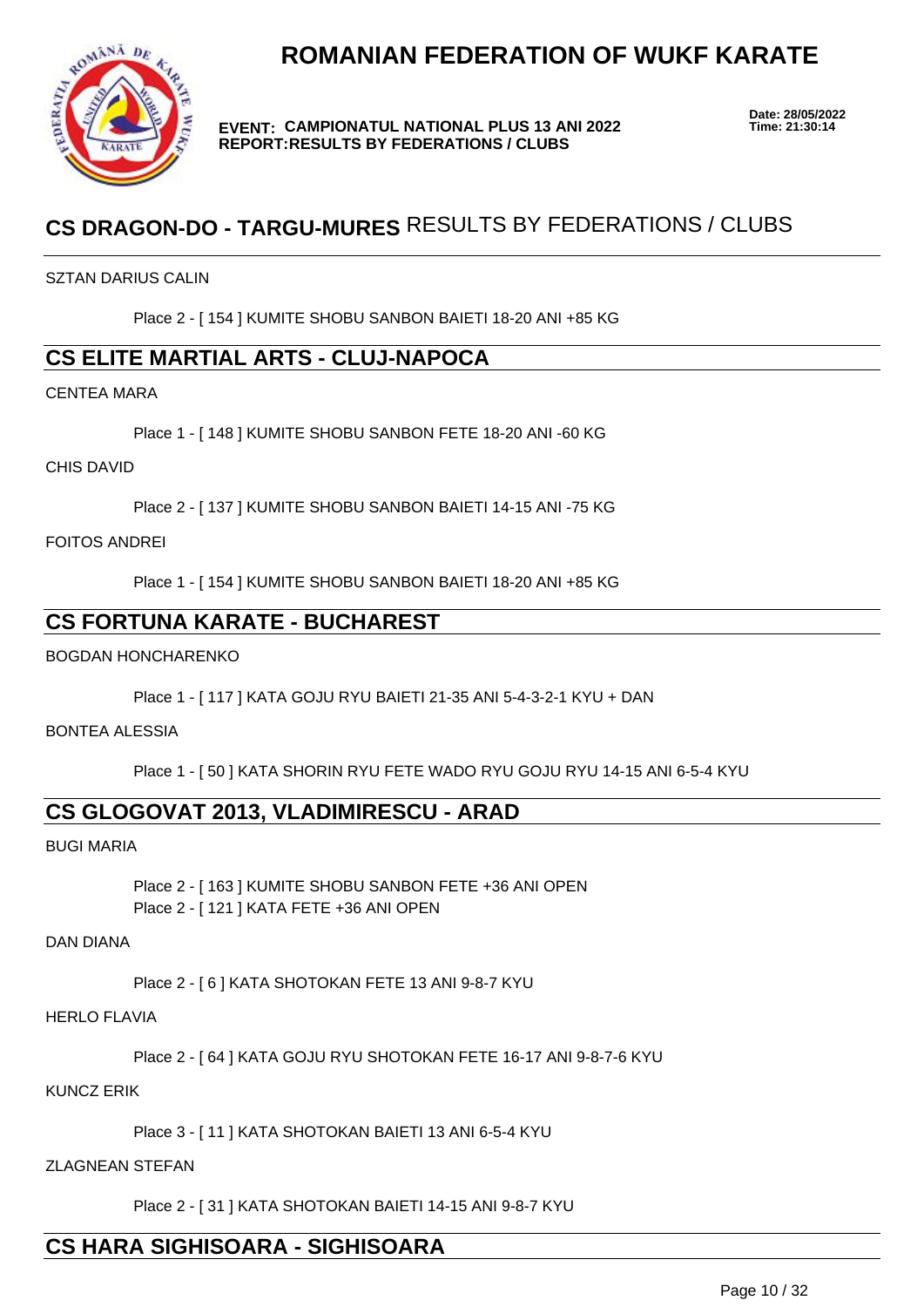



**EVENT: CAMPIONATUL NATIONAL PLUS 13 ANI 2022 REPORT: RESULTS BY FEDERATIONS / CLUBS**

**Date: 28/05/2022**

## **CS DRAGON-DO - TARGU-MURES** RESULTS BY FEDERATIONS / CLUBS

SZTAN DARIUS CALIN

Place 2 - [ 154 ] KUMITE SHOBU SANBON BAIETI 18-20 ANI +85 KG

## **CS ELITE MARTIAL ARTS - CLUJ-NAPOCA**

CENTEA MARA

Place 1 - [ 148 ] KUMITE SHOBU SANBON FETE 18-20 ANI -60 KG

CHIS DAVID

Place 2 - [ 137 ] KUMITE SHOBU SANBON BAIETI 14-15 ANI -75 KG

FOITOS ANDREI

Place 1 - [ 154 ] KUMITE SHOBU SANBON BAIETI 18-20 ANI +85 KG

## **CS FORTUNA KARATE - BUCHAREST**

BOGDAN HONCHARENKO

Place 1 - [ 117 ] KATA GOJU RYU BAIETI 21-35 ANI 5-4-3-2-1 KYU + DAN

BONTEA ALESSIA

Place 1 - [ 50 ] KATA SHORIN RYU FETE WADO RYU GOJU RYU 14-15 ANI 6-5-4 KYU

## **CS GLOGOVAT 2013, VLADIMIRESCU - ARAD**

BUGI MARIA

Place 2 - [ 163 ] KUMITE SHOBU SANBON FETE +36 ANI OPEN Place 2 - [ 121 ] KATA FETE +36 ANI OPEN

DAN DIANA

Place 2 - [ 6 ] KATA SHOTOKAN FETE 13 ANI 9-8-7 KYU

HERLO FLAVIA

Place 2 - [ 64 ] KATA GOJU RYU SHOTOKAN FETE 16-17 ANI 9-8-7-6 KYU

KUNCZ ERIK

Place 3 - [ 11 ] KATA SHOTOKAN BAIETI 13 ANI 6-5-4 KYU

ZLAGNEAN STEFAN

Place 2 - [ 31 ] KATA SHOTOKAN BAIETI 14-15 ANI 9-8-7 KYU

## **CS HARA SIGHISOARA - SIGHISOARA**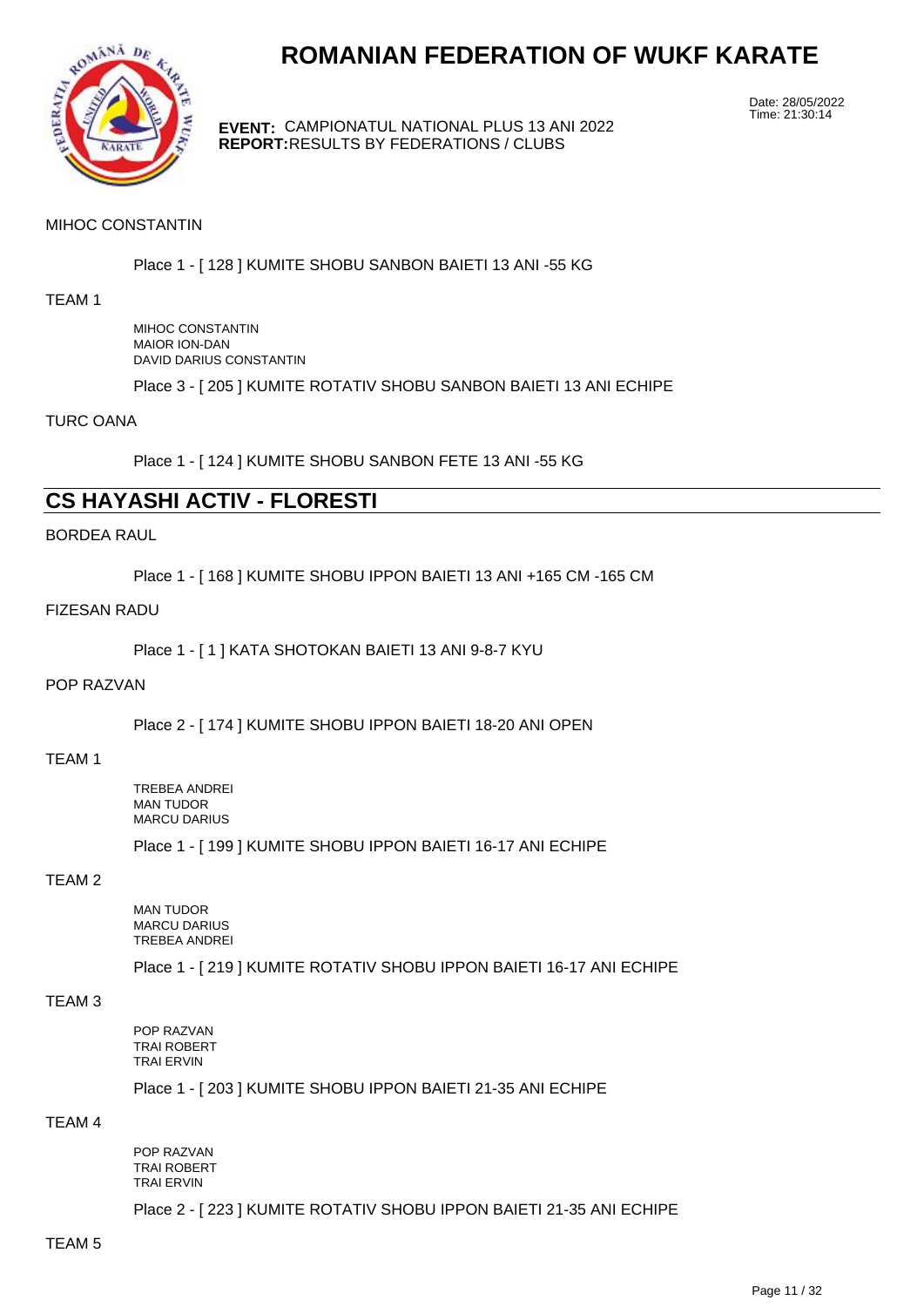

**EVENT:** CAMPIONATUL NATIONAL PLUS 13 ANI 2022 **REPORT:** RESULTS BY FEDERATIONS / CLUBS

Date: 28/05/2022 Time: 21:30:14

#### MIHOC CONSTANTIN

Place 1 - [ 128 ] KUMITE SHOBU SANBON BAIETI 13 ANI -55 KG

#### TEAM 1

MIHOC CONSTANTIN MAIOR ION-DAN DAVID DARIUS CONSTANTIN

Place 3 - [ 205 ] KUMITE ROTATIV SHOBU SANBON BAIETI 13 ANI ECHIPE

TURC OANA

Place 1 - [ 124 ] KUMITE SHOBU SANBON FETE 13 ANI -55 KG

## **CS HAYASHI ACTIV - FLORESTI**

#### BORDEA RAUL

Place 1 - [ 168 ] KUMITE SHOBU IPPON BAIETI 13 ANI +165 CM -165 CM

#### FIZESAN RADU

Place 1 - [ 1 ] KATA SHOTOKAN BAIETI 13 ANI 9-8-7 KYU

#### POP RAZVAN

Place 2 - [ 174 ] KUMITE SHOBU IPPON BAIETI 18-20 ANI OPEN

#### TEAM 1

TREBEA ANDREI MAN TUDOR MARCU DARIUS

Place 1 - [ 199 ] KUMITE SHOBU IPPON BAIETI 16-17 ANI ECHIPE

#### TEAM 2

MAN TUDOR MARCU DARIUS TREBEA ANDREI

Place 1 - [ 219 ] KUMITE ROTATIV SHOBU IPPON BAIETI 16-17 ANI ECHIPE

#### TEAM 3

POP RAZVAN TRAI ROBERT TRAI ERVIN

Place 1 - [ 203 ] KUMITE SHOBU IPPON BAIETI 21-35 ANI ECHIPE

### TEAM 4

POP RAZVAN TRAI ROBERT TRAI ERVIN

Place 2 - [ 223 ] KUMITE ROTATIV SHOBU IPPON BAIETI 21-35 ANI ECHIPE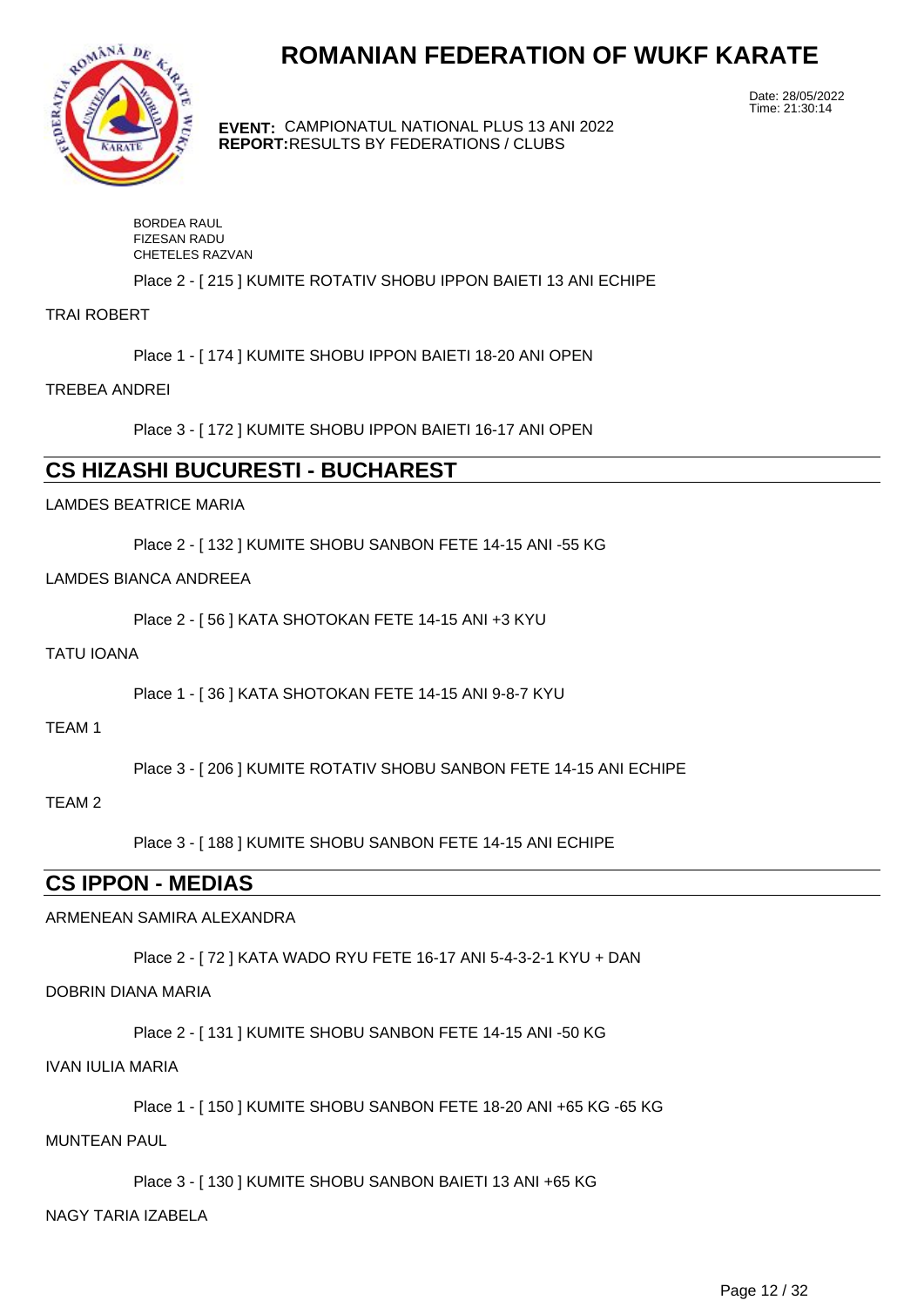

**EVENT:** CAMPIONATUL NATIONAL PLUS 13 ANI 2022 **REPORT:** RESULTS BY FEDERATIONS / CLUBS

Date: 28/05/2022 Time: 21:30:14

| BORDEA RAUL         |
|---------------------|
| <b>FIZESAN RADU</b> |
| CHETELES RAZVAN     |

Place 2 - [ 215 ] KUMITE ROTATIV SHOBU IPPON BAIETI 13 ANI ECHIPE

TRAI ROBERT

Place 1 - [ 174 ] KUMITE SHOBU IPPON BAIETI 18-20 ANI OPEN

TREBEA ANDREI

Place 3 - [ 172 ] KUMITE SHOBU IPPON BAIETI 16-17 ANI OPEN

## **CS HIZASHI BUCURESTI - BUCHAREST**

LAMDES BEATRICE MARIA

Place 2 - [ 132 ] KUMITE SHOBU SANBON FETE 14-15 ANI -55 KG

#### LAMDES BIANCA ANDREEA

Place 2 - [ 56 ] KATA SHOTOKAN FETE 14-15 ANI +3 KYU

#### TATU IOANA

Place 1 - [ 36 ] KATA SHOTOKAN FETE 14-15 ANI 9-8-7 KYU

TEAM 1

Place 3 - [ 206 ] KUMITE ROTATIV SHOBU SANBON FETE 14-15 ANI ECHIPE

#### TEAM 2

Place 3 - [ 188 ] KUMITE SHOBU SANBON FETE 14-15 ANI ECHIPE

## **CS IPPON - MEDIAS**

#### ARMENEAN SAMIRA ALEXANDRA

Place 2 - [ 72 ] KATA WADO RYU FETE 16-17 ANI 5-4-3-2-1 KYU + DAN

#### DOBRIN DIANA MARIA

Place 2 - [ 131 ] KUMITE SHOBU SANBON FETE 14-15 ANI -50 KG

#### IVAN IULIA MARIA

Place 1 - [ 150 ] KUMITE SHOBU SANBON FETE 18-20 ANI +65 KG -65 KG

MUNTEAN PAUL

Place 3 - [ 130 ] KUMITE SHOBU SANBON BAIETI 13 ANI +65 KG

#### NAGY TARIA IZABELA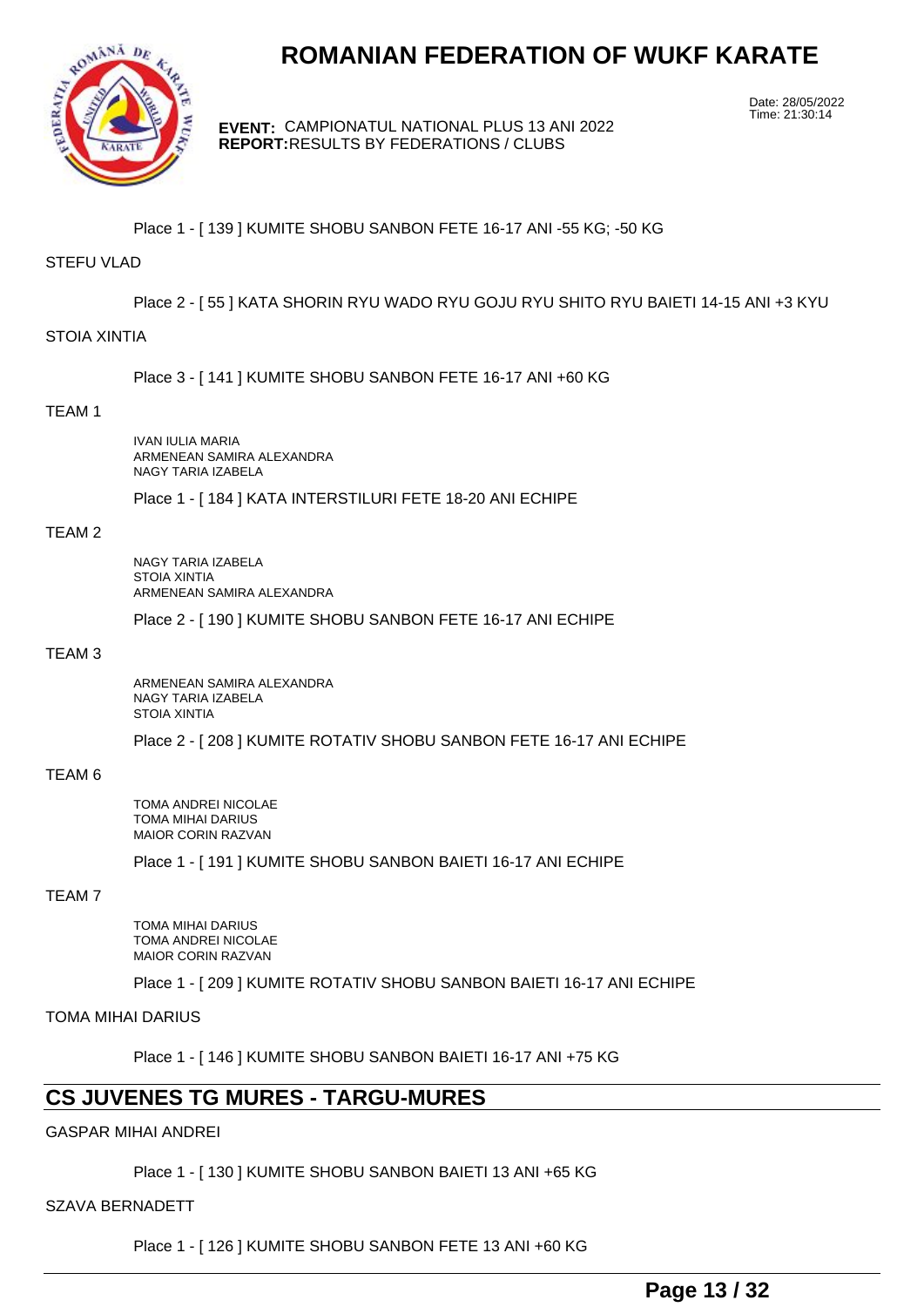

**EVENT:** CAMPIONATUL NATIONAL PLUS 13 ANI 2022 **REPORT:** RESULTS BY FEDERATIONS / CLUBS

Date: 28/05/2022 Time: 21:30:14

Place 1 - [ 139 ] KUMITE SHOBU SANBON FETE 16-17 ANI -55 KG; -50 KG

#### STEFU VLAD

Place 2 - [ 55 ] KATA SHORIN RYU WADO RYU GOJU RYU SHITO RYU BAIETI 14-15 ANI +3 KYU

#### STOIA XINTIA

Place 3 - [ 141 ] KUMITE SHOBU SANBON FETE 16-17 ANI +60 KG

#### TEAM 1

IVAN IULIA MARIA ARMENEAN SAMIRA ALEXANDRA NAGY TARIA IZABELA

Place 1 - [ 184 ] KATA INTERSTILURI FETE 18-20 ANI ECHIPE

#### TEAM 2

NAGY TARIA IZABELA STOIA XINTIA ARMENEAN SAMIRA ALEXANDRA

Place 2 - [ 190 ] KUMITE SHOBU SANBON FETE 16-17 ANI ECHIPE

#### TEAM 3

ARMENEAN SAMIRA ALEXANDRA NAGY TARIA IZABELA STOIA XINTIA

Place 2 - [ 208 ] KUMITE ROTATIV SHOBU SANBON FETE 16-17 ANI ECHIPE

#### TEAM 6

TOMA ANDREI NICOLAE TOMA MIHAI DARIUS MAIOR CORIN RAZVAN

Place 1 - [ 191 ] KUMITE SHOBU SANBON BAIETI 16-17 ANI ECHIPE

#### TEAM 7

TOMA MIHAI DARIUS TOMA ANDREI NICOLAE MAIOR CORIN RAZVAN

Place 1 - [ 209 ] KUMITE ROTATIV SHOBU SANBON BAIETI 16-17 ANI ECHIPE

TOMA MIHAI DARIUS

Place 1 - [ 146 ] KUMITE SHOBU SANBON BAIETI 16-17 ANI +75 KG

## **CS JUVENES TG MURES - TARGU-MURES**

#### GASPAR MIHAI ANDREI

Place 1 - [ 130 ] KUMITE SHOBU SANBON BAIETI 13 ANI +65 KG

#### SZAVA BERNADETT

Place 1 - [ 126 ] KUMITE SHOBU SANBON FETE 13 ANI +60 KG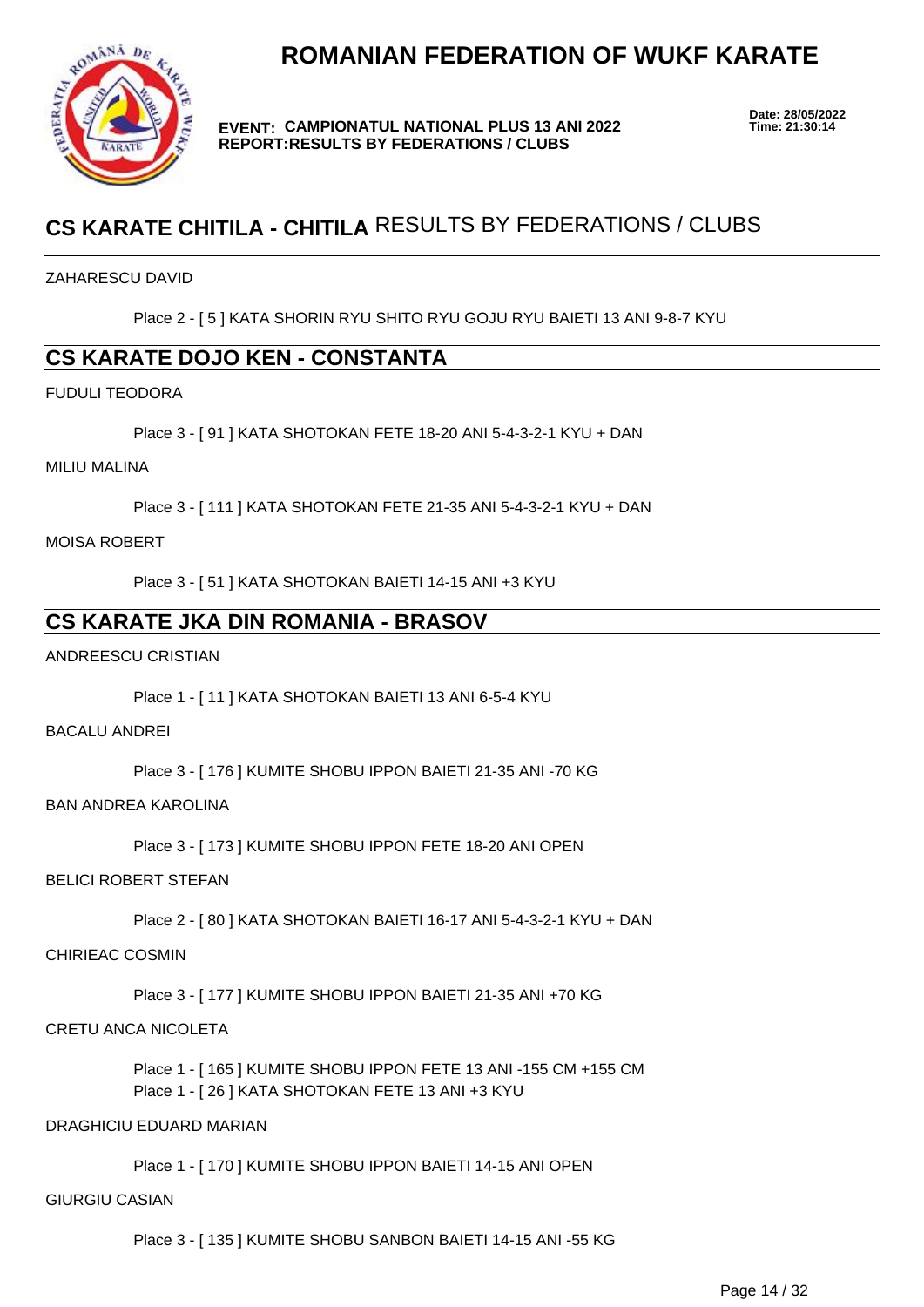

**EVENT: CAMPIONATUL NATIONAL PLUS 13 ANI 2022 REPORT: RESULTS BY FEDERATIONS / CLUBS**

**Date: 28/05/2022**

## **CS KARATE CHITILA - CHITILA** RESULTS BY FEDERATIONS / CLUBS

#### ZAHARESCU DAVID

Place 2 - [ 5 ] KATA SHORIN RYU SHITO RYU GOJU RYU BAIETI 13 ANI 9-8-7 KYU

## **CS KARATE DOJO KEN - CONSTANTA**

#### FUDULI TEODORA

Place 3 - [ 91 ] KATA SHOTOKAN FETE 18-20 ANI 5-4-3-2-1 KYU + DAN

#### MILIU MALINA

Place 3 - [ 111 ] KATA SHOTOKAN FETE 21-35 ANI 5-4-3-2-1 KYU + DAN

#### MOISA ROBERT

Place 3 - [ 51 ] KATA SHOTOKAN BAIETI 14-15 ANI +3 KYU

## **CS KARATE JKA DIN ROMANIA - BRASOV**

#### ANDREESCU CRISTIAN

Place 1 - [ 11 ] KATA SHOTOKAN BAIETI 13 ANI 6-5-4 KYU

#### BACALU ANDREI

Place 3 - [ 176 ] KUMITE SHOBU IPPON BAIETI 21-35 ANI -70 KG

#### BAN ANDREA KAROLINA

Place 3 - [ 173 ] KUMITE SHOBU IPPON FETE 18-20 ANI OPEN

#### BELICI ROBERT STEFAN

Place 2 - [ 80 ] KATA SHOTOKAN BAIETI 16-17 ANI 5-4-3-2-1 KYU + DAN

#### CHIRIEAC COSMIN

Place 3 - [ 177 ] KUMITE SHOBU IPPON BAIETI 21-35 ANI +70 KG

#### CRETU ANCA NICOLETA

Place 1 - [ 165 ] KUMITE SHOBU IPPON FETE 13 ANI -155 CM +155 CM Place 1 - [ 26 ] KATA SHOTOKAN FETE 13 ANI +3 KYU

#### DRAGHICIU EDUARD MARIAN

Place 1 - [ 170 ] KUMITE SHOBU IPPON BAIETI 14-15 ANI OPEN

#### GIURGIU CASIAN

Place 3 - [ 135 ] KUMITE SHOBU SANBON BAIETI 14-15 ANI -55 KG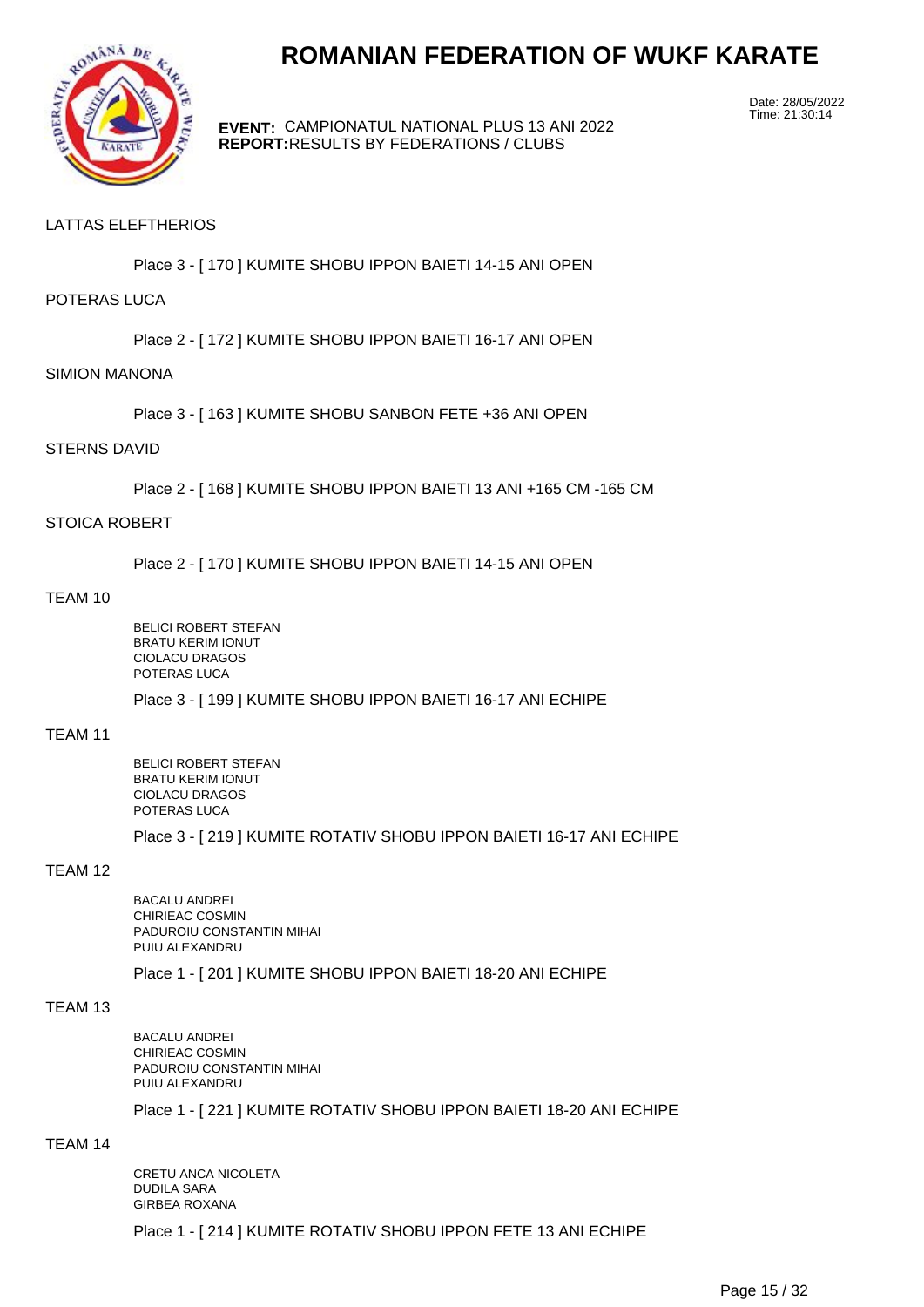

**EVENT:** CAMPIONATUL NATIONAL PLUS 13 ANI 2022 **REPORT:** RESULTS BY FEDERATIONS / CLUBS

Date: 28/05/2022 Time: 21:30:14

#### LATTAS ELEFTHERIOS

Place 3 - [ 170 ] KUMITE SHOBU IPPON BAIETI 14-15 ANI OPEN

#### POTERAS LUCA

Place 2 - [ 172 ] KUMITE SHOBU IPPON BAIETI 16-17 ANI OPEN

#### SIMION MANONA

Place 3 - [ 163 ] KUMITE SHOBU SANBON FETE +36 ANI OPEN

#### STERNS DAVID

Place 2 - [ 168 ] KUMITE SHOBU IPPON BAIETI 13 ANI +165 CM -165 CM

#### STOICA ROBERT

Place 2 - [ 170 ] KUMITE SHOBU IPPON BAIETI 14-15 ANI OPEN

#### TEAM 10

BELICI ROBERT STEFAN BRATU KERIM IONUT CIOLACU DRAGOS POTERAS LUCA

Place 3 - [ 199 ] KUMITE SHOBU IPPON BAIETI 16-17 ANI ECHIPE

#### TEAM 11

BELICI ROBERT STEFAN BRATU KERIM IONUT CIOLACU DRAGOS POTERAS LUCA

Place 3 - [ 219 ] KUMITE ROTATIV SHOBU IPPON BAIETI 16-17 ANI ECHIPE

#### TEAM 12

BACALU ANDREI CHIRIEAC COSMIN PADUROIU CONSTANTIN MIHAI PUIU ALEXANDRU

Place 1 - [ 201 ] KUMITE SHOBU IPPON BAIETI 18-20 ANI ECHIPE

#### TEAM 13

BACALU ANDREI CHIRIEAC COSMIN PADUROIU CONSTANTIN MIHAI PUIU ALEXANDRU

Place 1 - [ 221 ] KUMITE ROTATIV SHOBU IPPON BAIETI 18-20 ANI ECHIPE

#### TEAM 14

CRETU ANCA NICOLETA DUDILA SARA GIRBEA ROXANA Place 1 - [ 214 ] KUMITE ROTATIV SHOBU IPPON FETE 13 ANI ECHIPE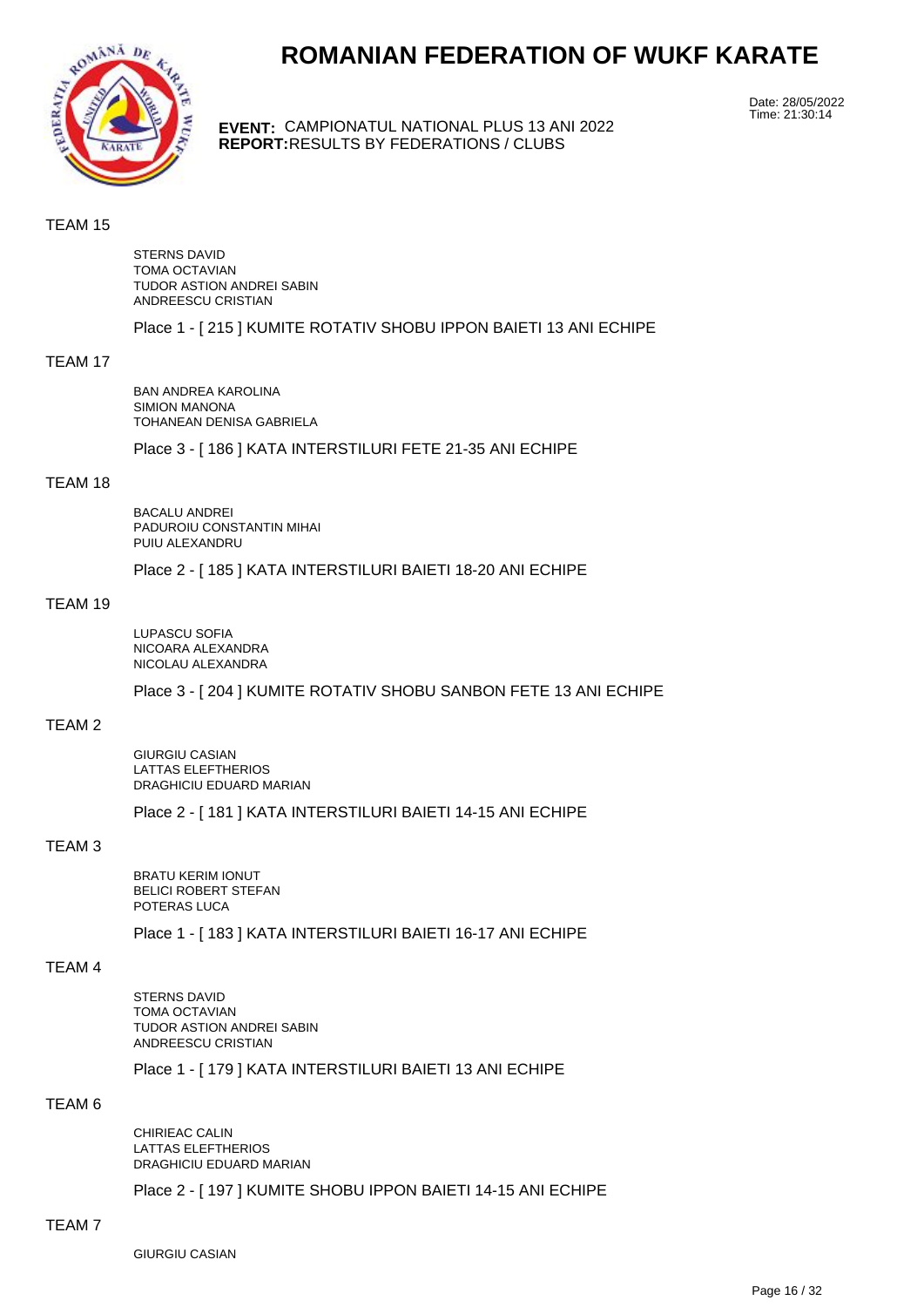

**EVENT:** CAMPIONATUL NATIONAL PLUS 13 ANI 2022 **REPORT:** RESULTS BY FEDERATIONS / CLUBS

Date: 28/05/2022 Time: 21:30:14

#### TEAM 15

STERNS DAVID TOMA OCTAVIAN TUDOR ASTION ANDREI SABIN ANDREESCU CRISTIAN

Place 1 - [ 215 ] KUMITE ROTATIV SHOBU IPPON BAIETI 13 ANI ECHIPE

#### TEAM 17

BAN ANDREA KAROLINA SIMION MANONA TOHANEAN DENISA GABRIELA Place 3 - [ 186 ] KATA INTERSTILURI FETE 21-35 ANI ECHIPE

#### TEAM 18

BACALU ANDREI PADUROIU CONSTANTIN MIHAI PUIU ALEXANDRU

Place 2 - [ 185 ] KATA INTERSTILURI BAIETI 18-20 ANI ECHIPE

#### TEAM 19

LUPASCU SOFIA NICOARA ALEXANDRA NICOLAU ALEXANDRA

Place 3 - [ 204 ] KUMITE ROTATIV SHOBU SANBON FETE 13 ANI ECHIPE

#### TEAM 2

GIURGIU CASIAN LATTAS ELEFTHERIOS DRAGHICIU EDUARD MARIAN

Place 2 - [ 181 ] KATA INTERSTILURI BAIETI 14-15 ANI ECHIPE

#### TEAM 3

BRATU KERIM IONUT BELICI ROBERT STEFAN POTERAS LUCA

Place 1 - [ 183 ] KATA INTERSTILURI BAIETI 16-17 ANI ECHIPE

#### TEAM 4

STERNS DAVID TOMA OCTAVIAN TUDOR ASTION ANDREI SABIN ANDREESCU CRISTIAN

Place 1 - [ 179 ] KATA INTERSTILURI BAIETI 13 ANI ECHIPE

#### TEAM 6

CHIRIEAC CALIN LATTAS ELEFTHERIOS DRAGHICIU EDUARD MARIAN

Place 2 - [ 197 ] KUMITE SHOBU IPPON BAIETI 14-15 ANI ECHIPE

#### TEAM 7

GIURGIU CASIAN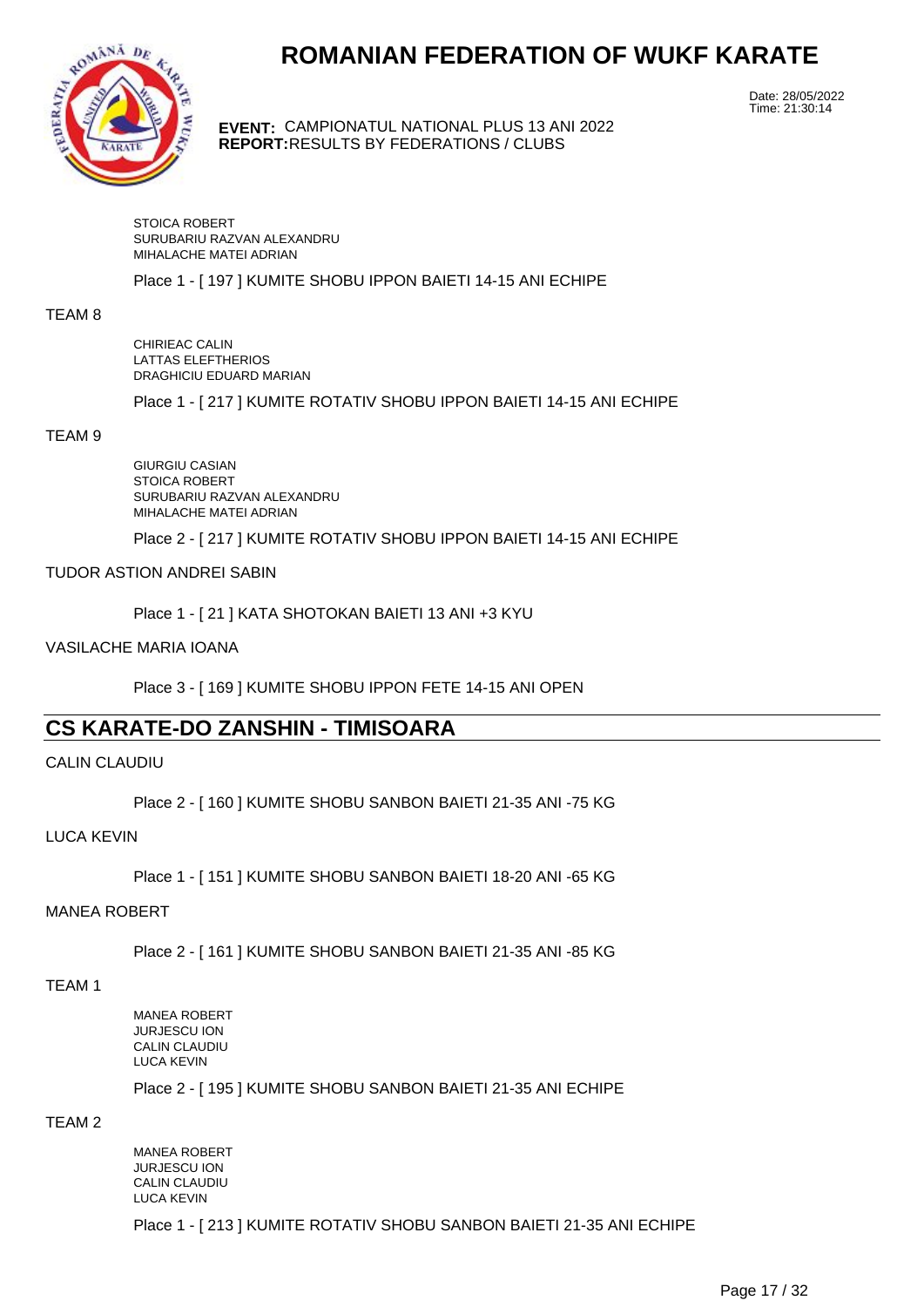

**EVENT:** CAMPIONATUL NATIONAL PLUS 13 ANI 2022 **REPORT:** RESULTS BY FEDERATIONS / CLUBS

Date: 28/05/2022 Time: 21:30:14

STOICA ROBERT SURUBARIU RAZVAN ALEXANDRU MIHALACHE MATEI ADRIAN

Place 1 - [ 197 ] KUMITE SHOBU IPPON BAIETI 14-15 ANI ECHIPE

#### TEAM 8

CHIRIEAC CALIN LATTAS ELEFTHERIOS DRAGHICIU EDUARD MARIAN

Place 1 - [ 217 ] KUMITE ROTATIV SHOBU IPPON BAIETI 14-15 ANI ECHIPE

#### TEAM 9

GIURGIU CASIAN STOICA ROBERT SURUBARIU RAZVAN ALEXANDRU MIHALACHE MATEI ADRIAN

Place 2 - [ 217 ] KUMITE ROTATIV SHOBU IPPON BAIETI 14-15 ANI ECHIPE

#### TUDOR ASTION ANDREI SABIN

Place 1 - [ 21 ] KATA SHOTOKAN BAIETI 13 ANI +3 KYU

VASILACHE MARIA IOANA

Place 3 - [ 169 ] KUMITE SHOBU IPPON FETE 14-15 ANI OPEN

## **CS KARATE-DO ZANSHIN - TIMISOARA**

#### CALIN CLAUDIU

Place 2 - [ 160 ] KUMITE SHOBU SANBON BAIETI 21-35 ANI -75 KG

#### LUCA KEVIN

Place 1 - [ 151 ] KUMITE SHOBU SANBON BAIETI 18-20 ANI -65 KG

#### MANEA ROBERT

Place 2 - [ 161 ] KUMITE SHOBU SANBON BAIETI 21-35 ANI -85 KG

TEAM 1

MANEA ROBERT JURJESCU ION CALIN CLAUDIU LUCA KEVIN

Place 2 - [ 195 ] KUMITE SHOBU SANBON BAIETI 21-35 ANI ECHIPE

### TEAM 2

MANEA ROBERT JURJESCU ION CALIN CLAUDIU LUCA KEVIN

Place 1 - [ 213 ] KUMITE ROTATIV SHOBU SANBON BAIETI 21-35 ANI ECHIPE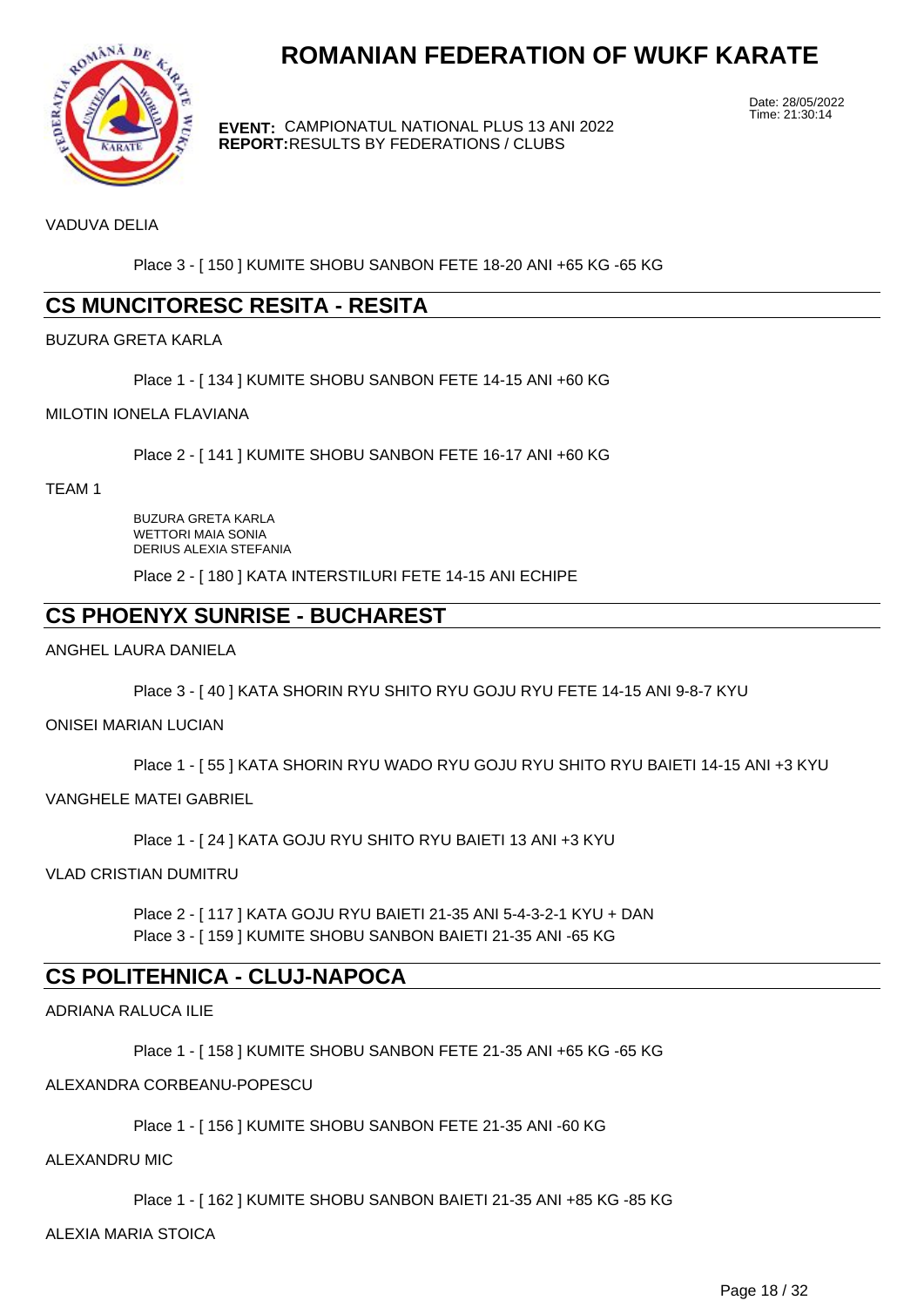

**EVENT:** CAMPIONATUL NATIONAL PLUS 13 ANI 2022 **REPORT:** RESULTS BY FEDERATIONS / CLUBS

Date: 28/05/2022 Time: 21:30:14

VADUVA DELIA

Place 3 - [ 150 ] KUMITE SHOBU SANBON FETE 18-20 ANI +65 KG -65 KG

## **CS MUNCITORESC RESITA - RESITA**

#### BUZURA GRETA KARLA

Place 1 - [ 134 ] KUMITE SHOBU SANBON FETE 14-15 ANI +60 KG

#### MILOTIN IONELA FLAVIANA

Place 2 - [ 141 ] KUMITE SHOBU SANBON FETE 16-17 ANI +60 KG

TEAM 1

BUZURA GRETA KARLA WETTORI MAIA SONIA DERIUS ALEXIA STEFANIA

Place 2 - [ 180 ] KATA INTERSTILURI FETE 14-15 ANI ECHIPE

## **CS PHOENYX SUNRISE - BUCHAREST**

ANGHEL LAURA DANIELA

Place 3 - [ 40 ] KATA SHORIN RYU SHITO RYU GOJU RYU FETE 14-15 ANI 9-8-7 KYU

#### ONISEI MARIAN LUCIAN

Place 1 - [ 55 ] KATA SHORIN RYU WADO RYU GOJU RYU SHITO RYU BAIETI 14-15 ANI +3 KYU

VANGHELE MATEI GABRIEL

Place 1 - [ 24 ] KATA GOJU RYU SHITO RYU BAIETI 13 ANI +3 KYU

VLAD CRISTIAN DUMITRU

Place 2 - [ 117 ] KATA GOJU RYU BAIETI 21-35 ANI 5-4-3-2-1 KYU + DAN Place 3 - [ 159 ] KUMITE SHOBU SANBON BAIETI 21-35 ANI -65 KG

### **CS POLITEHNICA - CLUJ-NAPOCA**

ADRIANA RALUCA ILIE

Place 1 - [ 158 ] KUMITE SHOBU SANBON FETE 21-35 ANI +65 KG -65 KG

ALEXANDRA CORBEANU-POPESCU

Place 1 - [ 156 ] KUMITE SHOBU SANBON FETE 21-35 ANI -60 KG

ALEXANDRU MIC

Place 1 - [ 162 ] KUMITE SHOBU SANBON BAIETI 21-35 ANI +85 KG -85 KG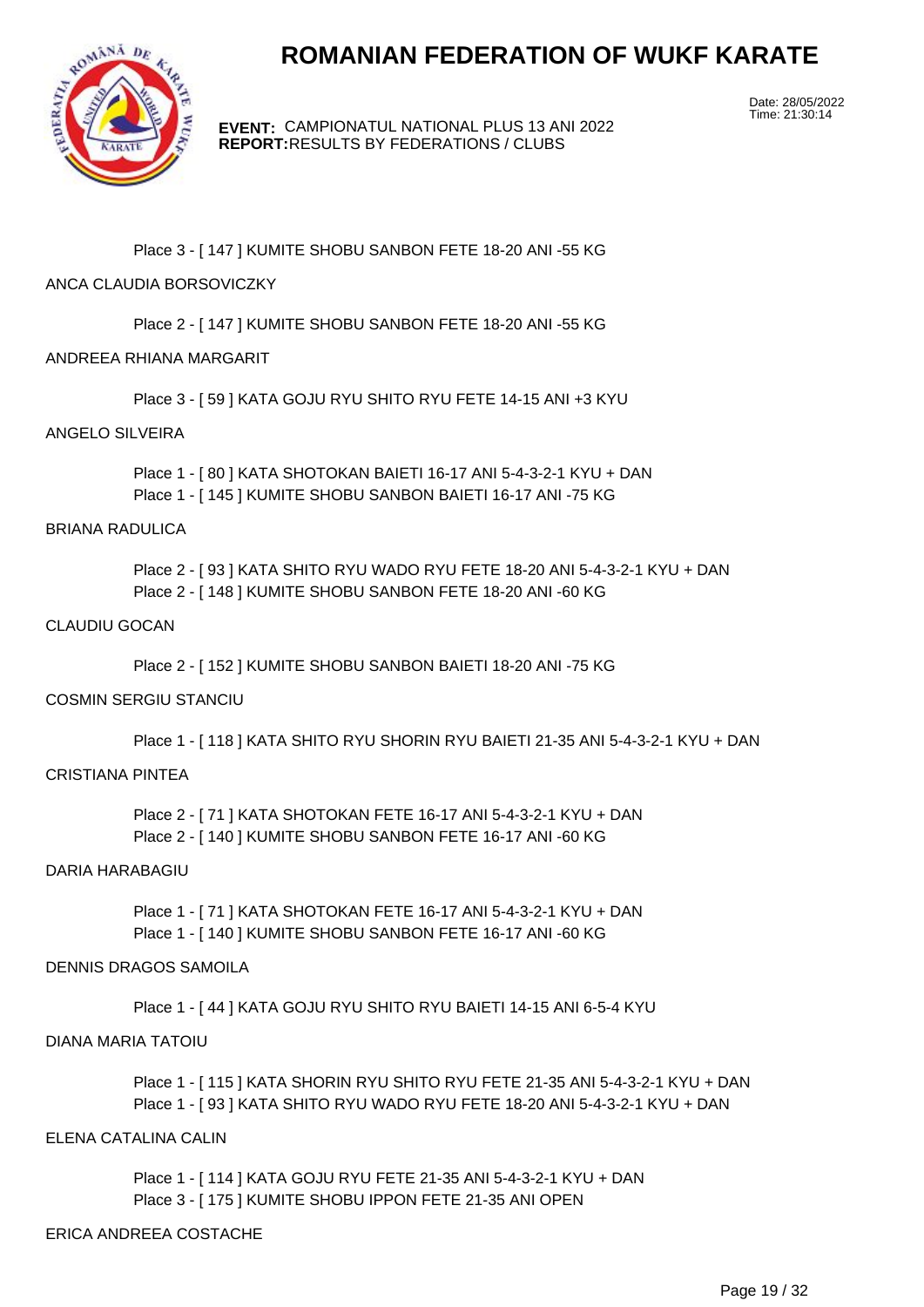

**EVENT:** CAMPIONATUL NATIONAL PLUS 13 ANI 2022 **REPORT:** RESULTS BY FEDERATIONS / CLUBS

Date: 28/05/2022 Time: 21:30:14

#### Place 3 - [ 147 ] KUMITE SHOBU SANBON FETE 18-20 ANI -55 KG

#### ANCA CLAUDIA BORSOVICZKY

Place 2 - [ 147 ] KUMITE SHOBU SANBON FETE 18-20 ANI -55 KG

#### ANDREEA RHIANA MARGARIT

Place 3 - [ 59 ] KATA GOJU RYU SHITO RYU FETE 14-15 ANI +3 KYU

#### ANGELO SILVEIRA

Place 1 - [ 80 ] KATA SHOTOKAN BAIETI 16-17 ANI 5-4-3-2-1 KYU + DAN Place 1 - [ 145 ] KUMITE SHOBU SANBON BAIETI 16-17 ANI -75 KG

#### BRIANA RADULICA

Place 2 - [ 93 ] KATA SHITO RYU WADO RYU FETE 18-20 ANI 5-4-3-2-1 KYU + DAN Place 2 - [ 148 ] KUMITE SHOBU SANBON FETE 18-20 ANI -60 KG

#### CLAUDIU GOCAN

Place 2 - [ 152 ] KUMITE SHOBU SANBON BAIETI 18-20 ANI -75 KG

#### COSMIN SERGIU STANCIU

Place 1 - [ 118 ] KATA SHITO RYU SHORIN RYU BAIETI 21-35 ANI 5-4-3-2-1 KYU + DAN

#### CRISTIANA PINTEA

Place 2 - [ 71 ] KATA SHOTOKAN FETE 16-17 ANI 5-4-3-2-1 KYU + DAN Place 2 - [ 140 ] KUMITE SHOBU SANBON FETE 16-17 ANI -60 KG

#### DARIA HARABAGIU

Place 1 - [ 71 ] KATA SHOTOKAN FETE 16-17 ANI 5-4-3-2-1 KYU + DAN Place 1 - [ 140 ] KUMITE SHOBU SANBON FETE 16-17 ANI -60 KG

#### DENNIS DRAGOS SAMOILA

Place 1 - [ 44 ] KATA GOJU RYU SHITO RYU BAIETI 14-15 ANI 6-5-4 KYU

#### DIANA MARIA TATOIU

Place 1 - [ 115 ] KATA SHORIN RYU SHITO RYU FETE 21-35 ANI 5-4-3-2-1 KYU + DAN Place 1 - [ 93 ] KATA SHITO RYU WADO RYU FETE 18-20 ANI 5-4-3-2-1 KYU + DAN

#### ELENA CATALINA CALIN

Place 1 - [ 114 ] KATA GOJU RYU FETE 21-35 ANI 5-4-3-2-1 KYU + DAN Place 3 - [ 175 ] KUMITE SHOBU IPPON FETE 21-35 ANI OPEN

#### ERICA ANDREEA COSTACHE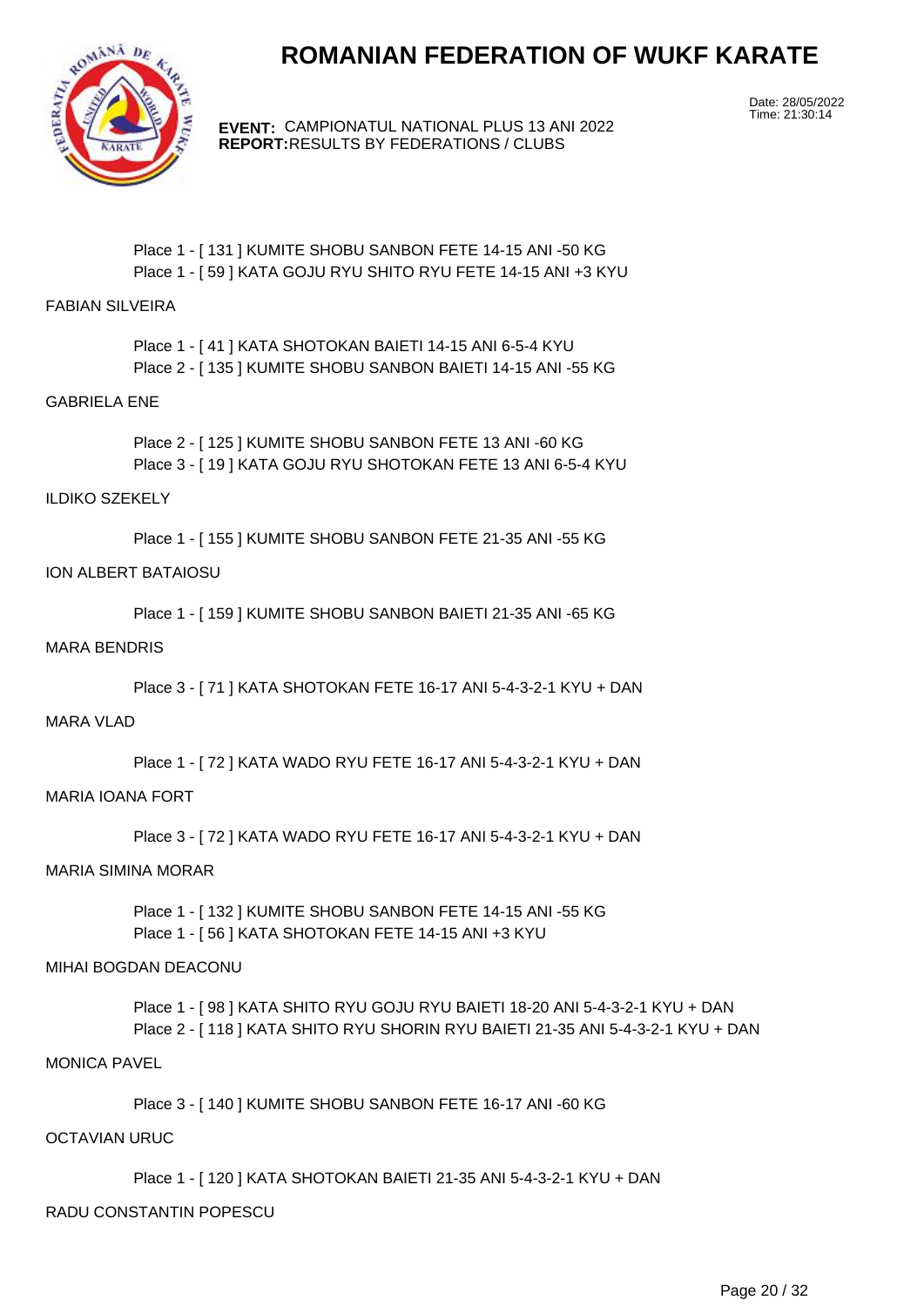

**EVENT:** CAMPIONATUL NATIONAL PLUS 13 ANI 2022 **REPORT:** RESULTS BY FEDERATIONS / CLUBS

Date: 28/05/2022 Time: 21:30:14

#### Place 1 - [ 131 ] KUMITE SHOBU SANBON FETE 14-15 ANI -50 KG Place 1 - [ 59 ] KATA GOJU RYU SHITO RYU FETE 14-15 ANI +3 KYU

#### FABIAN SILVEIRA

Place 1 - [ 41 ] KATA SHOTOKAN BAIETI 14-15 ANI 6-5-4 KYU Place 2 - [ 135 ] KUMITE SHOBU SANBON BAIETI 14-15 ANI -55 KG

#### GABRIELA ENE

Place 2 - [ 125 ] KUMITE SHOBU SANBON FETE 13 ANI -60 KG Place 3 - [ 19 ] KATA GOJU RYU SHOTOKAN FETE 13 ANI 6-5-4 KYU

#### ILDIKO SZEKELY

Place 1 - [ 155 ] KUMITE SHOBU SANBON FETE 21-35 ANI -55 KG

#### ION ALBERT BATAIOSU

Place 1 - [ 159 ] KUMITE SHOBU SANBON BAIETI 21-35 ANI -65 KG

#### MARA BENDRIS

Place 3 - [ 71 ] KATA SHOTOKAN FETE 16-17 ANI 5-4-3-2-1 KYU + DAN

#### MARA VLAD

Place 1 - [ 72 ] KATA WADO RYU FETE 16-17 ANI 5-4-3-2-1 KYU + DAN

#### MARIA IOANA FORT

Place 3 - [ 72 ] KATA WADO RYU FETE 16-17 ANI 5-4-3-2-1 KYU + DAN

#### MARIA SIMINA MORAR

Place 1 - [ 132 ] KUMITE SHOBU SANBON FETE 14-15 ANI -55 KG Place 1 - [ 56 ] KATA SHOTOKAN FETE 14-15 ANI +3 KYU

#### MIHAI BOGDAN DEACONU

Place 1 - [ 98 ] KATA SHITO RYU GOJU RYU BAIETI 18-20 ANI 5-4-3-2-1 KYU + DAN Place 2 - [ 118 ] KATA SHITO RYU SHORIN RYU BAIETI 21-35 ANI 5-4-3-2-1 KYU + DAN

#### MONICA PAVEL

Place 3 - [ 140 ] KUMITE SHOBU SANBON FETE 16-17 ANI -60 KG

#### OCTAVIAN URUC

Place 1 - [ 120 ] KATA SHOTOKAN BAIETI 21-35 ANI 5-4-3-2-1 KYU + DAN

#### RADU CONSTANTIN POPESCU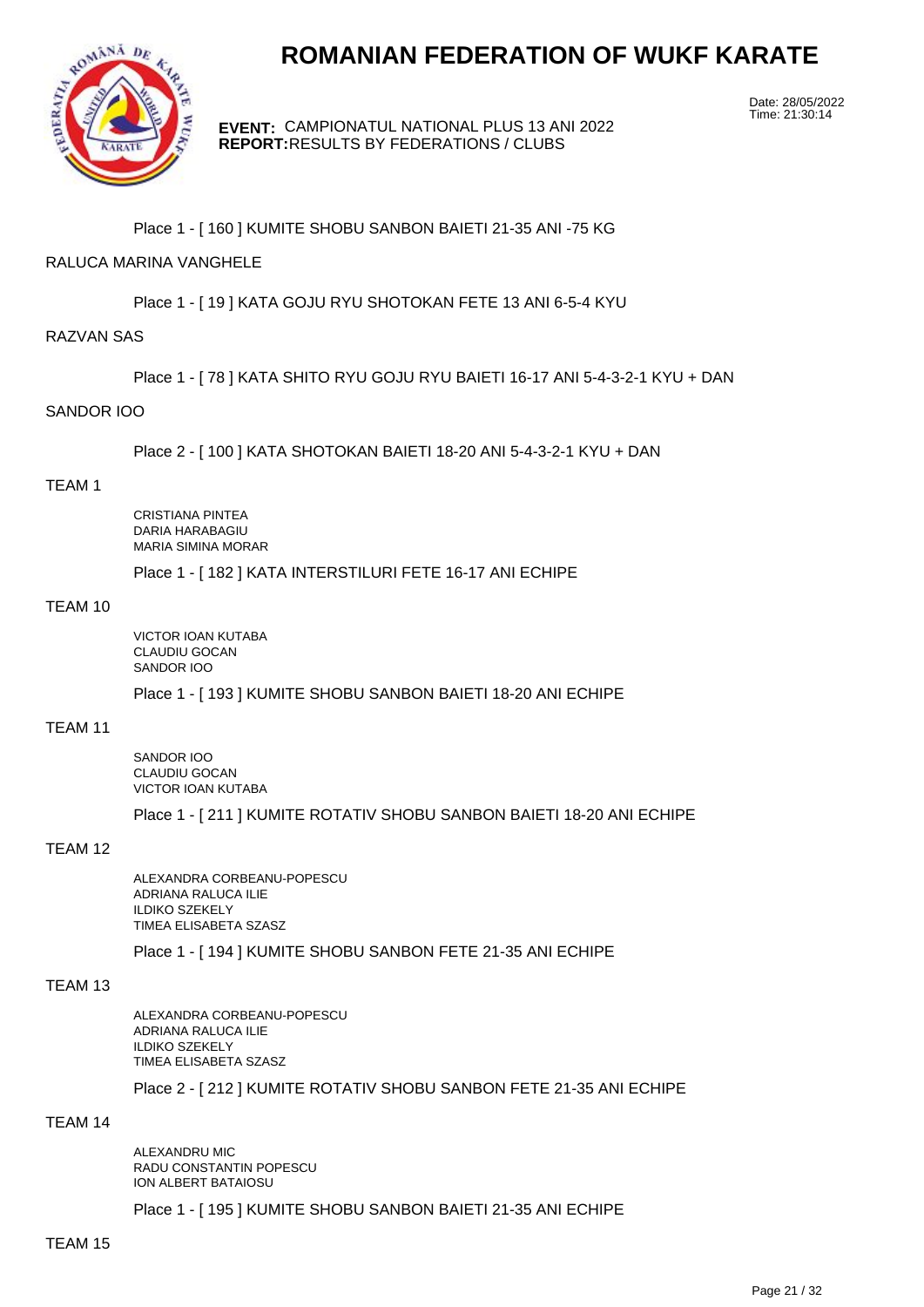

**EVENT:** CAMPIONATUL NATIONAL PLUS 13 ANI 2022 **REPORT:** RESULTS BY FEDERATIONS / CLUBS

Date: 28/05/2022 Time: 21:30:14

#### Place 1 - [ 160 ] KUMITE SHOBU SANBON BAIETI 21-35 ANI -75 KG

#### RALUCA MARINA VANGHELE

Place 1 - [ 19 ] KATA GOJU RYU SHOTOKAN FETE 13 ANI 6-5-4 KYU

#### RAZVAN SAS

Place 1 - [ 78 ] KATA SHITO RYU GOJU RYU BAIETI 16-17 ANI 5-4-3-2-1 KYU + DAN

#### SANDOR IOO

Place 2 - [ 100 ] KATA SHOTOKAN BAIETI 18-20 ANI 5-4-3-2-1 KYU + DAN

#### TEAM 1

CRISTIANA PINTEA DARIA HARABAGIU MARIA SIMINA MORAR

Place 1 - [ 182 ] KATA INTERSTILURI FETE 16-17 ANI ECHIPE

#### TEAM 10

VICTOR IOAN KUTABA CLAUDIU GOCAN SANDOR IOO

Place 1 - [ 193 ] KUMITE SHOBU SANBON BAIETI 18-20 ANI ECHIPE

#### TEAM 11

SANDOR IOO CLAUDIU GOCAN VICTOR IOAN KUTABA

Place 1 - [ 211 ] KUMITE ROTATIV SHOBU SANBON BAIETI 18-20 ANI ECHIPE

#### TEAM 12

ALEXANDRA CORBEANU-POPESCU ADRIANA RALUCA ILIE ILDIKO SZEKELY TIMEA ELISABETA SZASZ

Place 1 - [ 194 ] KUMITE SHOBU SANBON FETE 21-35 ANI ECHIPE

#### TEAM 13

ALEXANDRA CORBEANU-POPESCU ADRIANA RALUCA ILIE ILDIKO SZEKELY TIMEA ELISABETA SZASZ

Place 2 - [ 212 ] KUMITE ROTATIV SHOBU SANBON FETE 21-35 ANI ECHIPE

#### TEAM 14

ALEXANDRU MIC RADU CONSTANTIN POPESCU ION ALBERT BATAIOSU

Place 1 - [ 195 ] KUMITE SHOBU SANBON BAIETI 21-35 ANI ECHIPE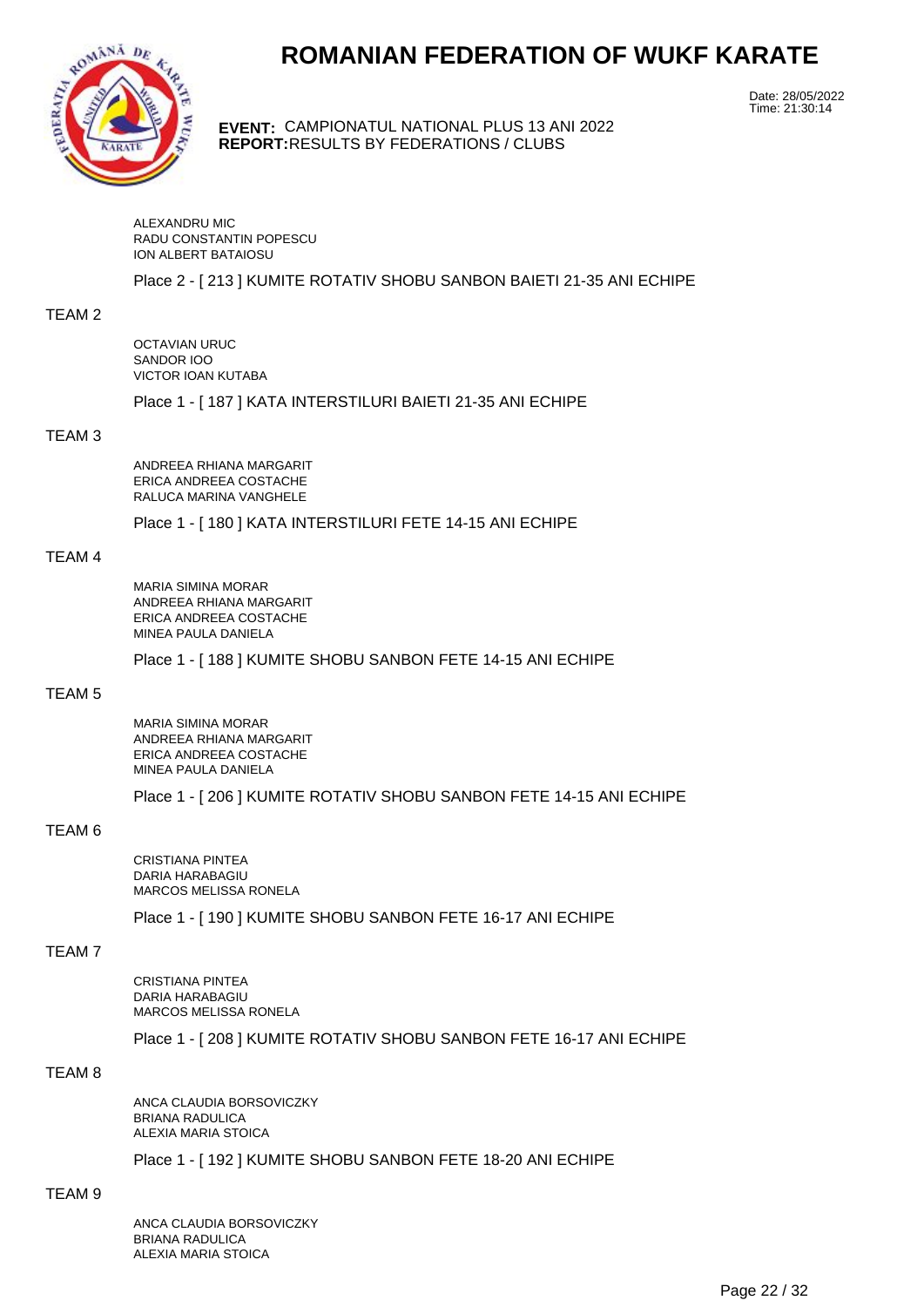

**EVENT:** CAMPIONATUL NATIONAL PLUS 13 ANI 2022 **REPORT:** RESULTS BY FEDERATIONS / CLUBS

Date: 28/05/2022 Time: 21:30:14

ALEXANDRU MIC RADU CONSTANTIN POPESCU ION ALBERT BATAIOSU

Place 2 - [ 213 ] KUMITE ROTATIV SHOBU SANBON BAIETI 21-35 ANI ECHIPE

#### TEAM 2

OCTAVIAN URUC SANDOR IOO VICTOR IOAN KUTABA

Place 1 - [ 187 ] KATA INTERSTILURI BAIETI 21-35 ANI ECHIPE

#### TEAM 3

ANDREEA RHIANA MARGARIT ERICA ANDREEA COSTACHE RALUCA MARINA VANGHELE

Place 1 - [ 180 ] KATA INTERSTILURI FETE 14-15 ANI ECHIPE

#### TEAM 4

MARIA SIMINA MORAR ANDREEA RHIANA MARGARIT ERICA ANDREEA COSTACHE MINEA PAULA DANIELA

Place 1 - [ 188 ] KUMITE SHOBU SANBON FETE 14-15 ANI ECHIPE

#### TEAM 5

MARIA SIMINA MORAR ANDREEA RHIANA MARGARIT ERICA ANDREEA COSTACHE MINEA PAULA DANIELA

Place 1 - [ 206 ] KUMITE ROTATIV SHOBU SANBON FETE 14-15 ANI ECHIPE

#### TEAM 6

CRISTIANA PINTEA DARIA HARABAGIU MARCOS MELISSA RONELA

Place 1 - [ 190 ] KUMITE SHOBU SANBON FETE 16-17 ANI ECHIPE

#### TEAM 7

CRISTIANA PINTEA DARIA HARABAGIU MARCOS MELISSA RONELA

Place 1 - [ 208 ] KUMITE ROTATIV SHOBU SANBON FETE 16-17 ANI ECHIPE

#### TEAM 8

ANCA CLAUDIA BORSOVICZKY BRIANA RADULICA ALEXIA MARIA STOICA

Place 1 - [ 192 ] KUMITE SHOBU SANBON FETE 18-20 ANI ECHIPE

#### TEAM 9

ANCA CLAUDIA BORSOVICZKY BRIANA RADULICA ALEXIA MARIA STOICA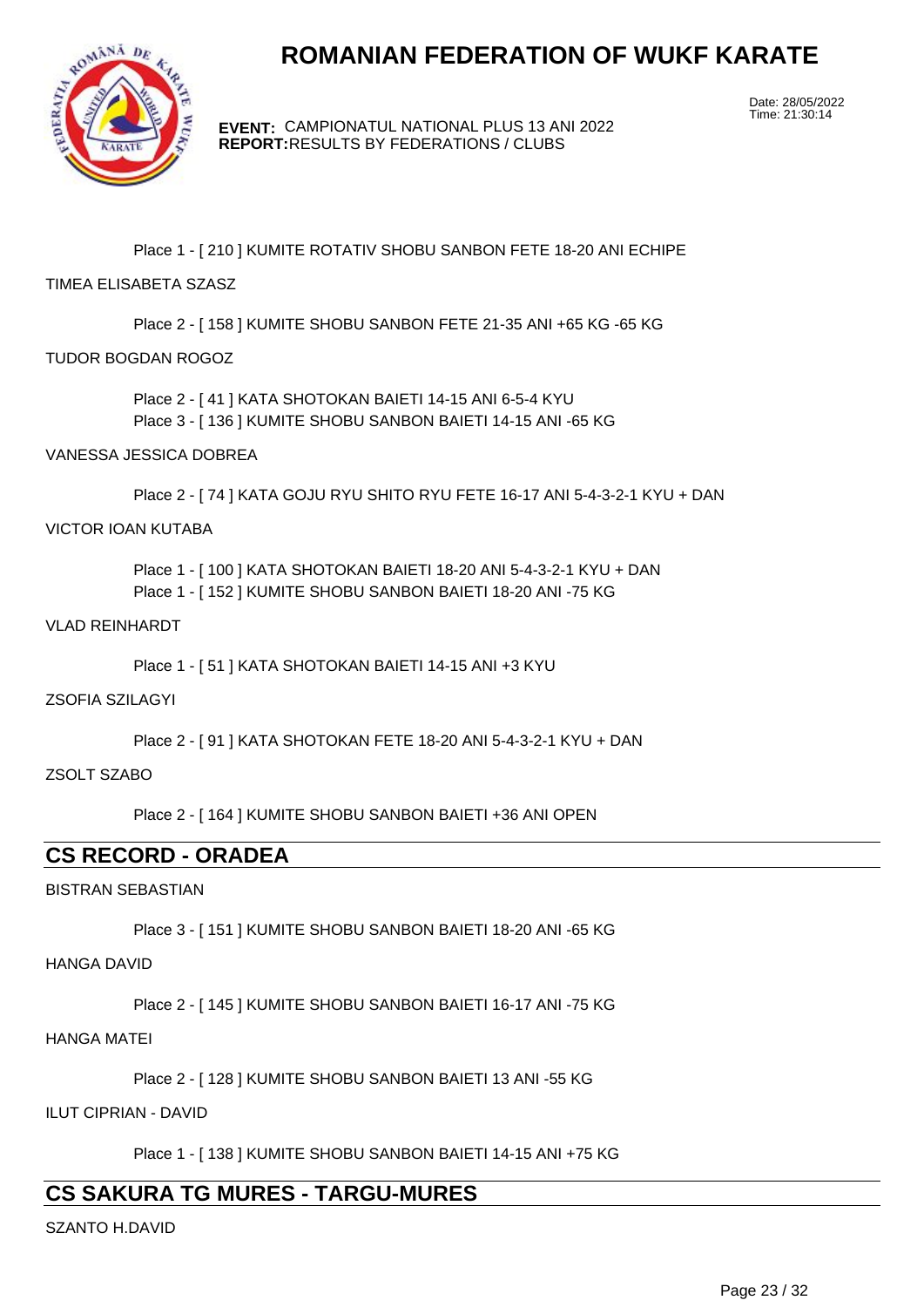

**EVENT:** CAMPIONATUL NATIONAL PLUS 13 ANI 2022 **REPORT:** RESULTS BY FEDERATIONS / CLUBS

Date: 28/05/2022 Time: 21:30:14

Place 1 - [ 210 ] KUMITE ROTATIV SHOBU SANBON FETE 18-20 ANI ECHIPE

#### TIMEA ELISABETA SZASZ

Place 2 - [ 158 ] KUMITE SHOBU SANBON FETE 21-35 ANI +65 KG -65 KG

#### TUDOR BOGDAN ROGOZ

Place 2 - [ 41 ] KATA SHOTOKAN BAIETI 14-15 ANI 6-5-4 KYU Place 3 - [ 136 ] KUMITE SHOBU SANBON BAIETI 14-15 ANI -65 KG

#### VANESSA JESSICA DOBREA

Place 2 - [ 74 ] KATA GOJU RYU SHITO RYU FETE 16-17 ANI 5-4-3-2-1 KYU + DAN

#### VICTOR IOAN KUTABA

Place 1 - [ 100 ] KATA SHOTOKAN BAIETI 18-20 ANI 5-4-3-2-1 KYU + DAN Place 1 - [ 152 ] KUMITE SHOBU SANBON BAIETI 18-20 ANI -75 KG

#### VLAD REINHARDT

Place 1 - [ 51 ] KATA SHOTOKAN BAIETI 14-15 ANI +3 KYU

#### ZSOFIA SZILAGYI

Place 2 - [ 91 ] KATA SHOTOKAN FETE 18-20 ANI 5-4-3-2-1 KYU + DAN

#### ZSOLT SZABO

Place 2 - [ 164 ] KUMITE SHOBU SANBON BAIETI +36 ANI OPEN

## **CS RECORD - ORADEA**

#### BISTRAN SEBASTIAN

Place 3 - [ 151 ] KUMITE SHOBU SANBON BAIETI 18-20 ANI -65 KG

HANGA DAVID

Place 2 - [ 145 ] KUMITE SHOBU SANBON BAIETI 16-17 ANI -75 KG

#### HANGA MATEI

Place 2 - [ 128 ] KUMITE SHOBU SANBON BAIETI 13 ANI -55 KG

ILUT CIPRIAN - DAVID

Place 1 - [ 138 ] KUMITE SHOBU SANBON BAIETI 14-15 ANI +75 KG

## **CS SAKURA TG MURES - TARGU-MURES**

SZANTO H.DAVID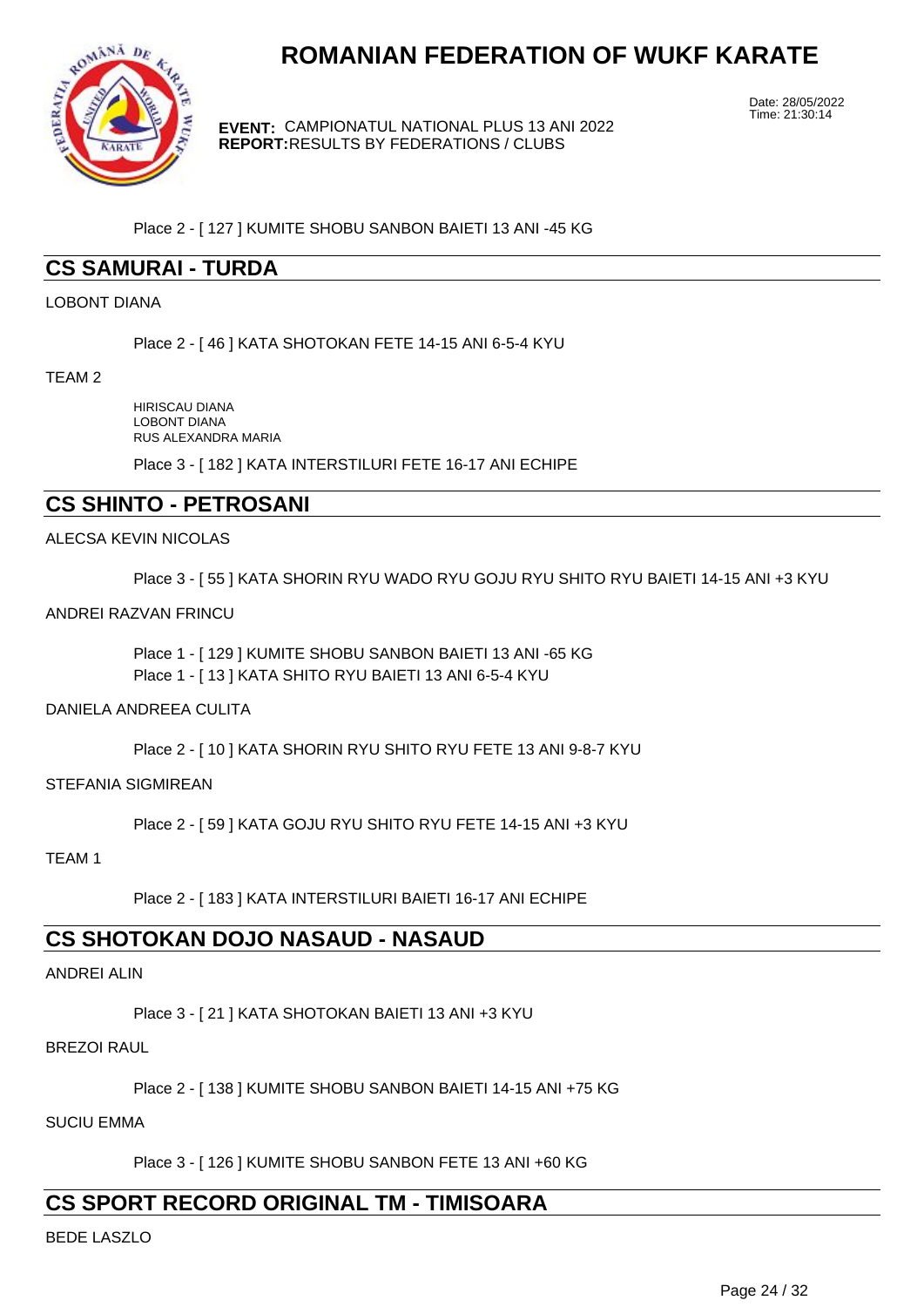

**EVENT:** CAMPIONATUL NATIONAL PLUS 13 ANI 2022 **REPORT:** RESULTS BY FEDERATIONS / CLUBS

Date: 28/05/2022 Time: 21:30:14

Place 2 - [ 127 ] KUMITE SHOBU SANBON BAIETI 13 ANI -45 KG

## **CS SAMURAI - TURDA**

#### LOBONT DIANA

Place 2 - [ 46 ] KATA SHOTOKAN FETE 14-15 ANI 6-5-4 KYU

TEAM 2

HIRISCAU DIANA LOBONT DIANA RUS ALEXANDRA MARIA

Place 3 - [ 182 ] KATA INTERSTILURI FETE 16-17 ANI ECHIPE

## **CS SHINTO - PETROSANI**

ALECSA KEVIN NICOLAS

Place 3 - [ 55 ] KATA SHORIN RYU WADO RYU GOJU RYU SHITO RYU BAIETI 14-15 ANI +3 KYU

#### ANDREI RAZVAN FRINCU

Place 1 - [ 129 ] KUMITE SHOBU SANBON BAIETI 13 ANI -65 KG Place 1 - [ 13 ] KATA SHITO RYU BAIETI 13 ANI 6-5-4 KYU

#### DANIELA ANDREEA CULITA

Place 2 - [ 10 ] KATA SHORIN RYU SHITO RYU FETE 13 ANI 9-8-7 KYU

STEFANIA SIGMIREAN

Place 2 - [ 59 ] KATA GOJU RYU SHITO RYU FETE 14-15 ANI +3 KYU

TEAM 1

Place 2 - [ 183 ] KATA INTERSTILURI BAIETI 16-17 ANI ECHIPE

### **CS SHOTOKAN DOJO NASAUD - NASAUD**

#### ANDREI ALIN

Place 3 - [ 21 ] KATA SHOTOKAN BAIETI 13 ANI +3 KYU

#### BREZOI RAUL

Place 2 - [ 138 ] KUMITE SHOBU SANBON BAIETI 14-15 ANI +75 KG

SUCIU EMMA

Place 3 - [ 126 ] KUMITE SHOBU SANBON FETE 13 ANI +60 KG

## **CS SPORT RECORD ORIGINAL TM - TIMISOARA**

BEDE LASZLO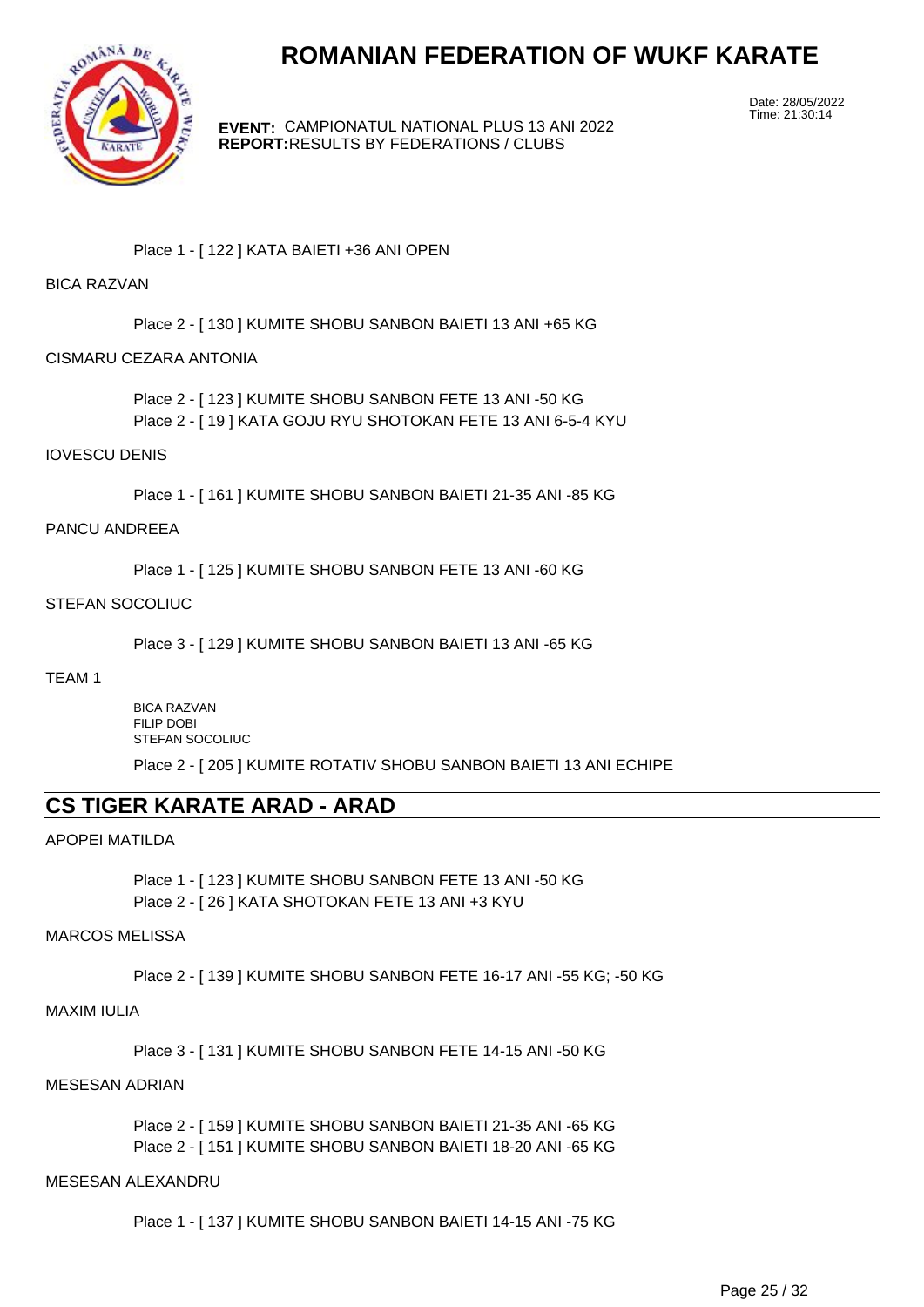

**EVENT:** CAMPIONATUL NATIONAL PLUS 13 ANI 2022 **REPORT:** RESULTS BY FEDERATIONS / CLUBS

Date: 28/05/2022 Time: 21:30:14

#### Place 1 - [ 122 ] KATA BAIETI +36 ANI OPEN

#### BICA RAZVAN

Place 2 - [ 130 ] KUMITE SHOBU SANBON BAIETI 13 ANI +65 KG

#### CISMARU CEZARA ANTONIA

Place 2 - [ 123 ] KUMITE SHOBU SANBON FETE 13 ANI -50 KG Place 2 - [ 19 ] KATA GOJU RYU SHOTOKAN FETE 13 ANI 6-5-4 KYU

#### IOVESCU DENIS

Place 1 - [ 161 ] KUMITE SHOBU SANBON BAIETI 21-35 ANI -85 KG

#### PANCU ANDREEA

Place 1 - [ 125 ] KUMITE SHOBU SANBON FETE 13 ANI -60 KG

#### STEFAN SOCOLIUC

Place 3 - [ 129 ] KUMITE SHOBU SANBON BAIETI 13 ANI -65 KG

#### TEAM 1

BICA RAZVAN FILIP DOBI STEFAN SOCOLIUC

Place 2 - [ 205 ] KUMITE ROTATIV SHOBU SANBON BAIETI 13 ANI ECHIPE

### **CS TIGER KARATE ARAD - ARAD**

#### APOPEI MATILDA

Place 1 - [ 123 ] KUMITE SHOBU SANBON FETE 13 ANI -50 KG Place 2 - [ 26 ] KATA SHOTOKAN FETE 13 ANI +3 KYU

#### MARCOS MELISSA

Place 2 - [ 139 ] KUMITE SHOBU SANBON FETE 16-17 ANI -55 KG; -50 KG

#### MAXIM IULIA

Place 3 - [ 131 ] KUMITE SHOBU SANBON FETE 14-15 ANI -50 KG

#### MESESAN ADRIAN

Place 2 - [ 159 ] KUMITE SHOBU SANBON BAIETI 21-35 ANI -65 KG Place 2 - [ 151 ] KUMITE SHOBU SANBON BAIETI 18-20 ANI -65 KG

#### MESESAN ALEXANDRU

Place 1 - [ 137 ] KUMITE SHOBU SANBON BAIETI 14-15 ANI -75 KG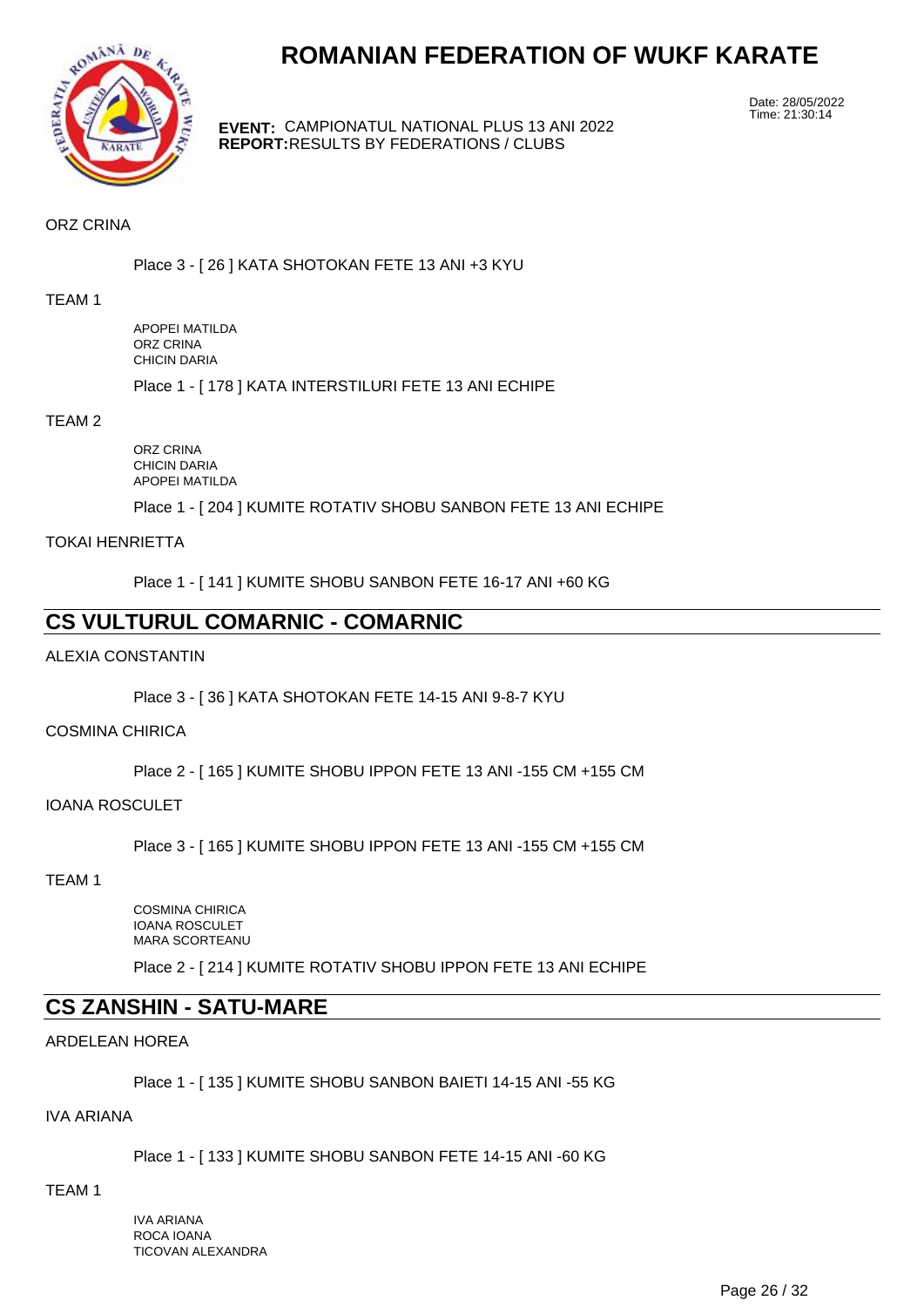

**EVENT:** CAMPIONATUL NATIONAL PLUS 13 ANI 2022 **REPORT:** RESULTS BY FEDERATIONS / CLUBS

Date: 28/05/2022 Time: 21:30:14

#### ORZ CRINA

Place 3 - [ 26 ] KATA SHOTOKAN FETE 13 ANI +3 KYU

#### TEAM 1

APOPEI MATILDA ORZ CRINA CHICIN DARIA

Place 1 - [ 178 ] KATA INTERSTILURI FETE 13 ANI ECHIPE

#### TEAM 2

ORZ CRINA CHICIN DARIA APOPEI MATILDA

Place 1 - [ 204 ] KUMITE ROTATIV SHOBU SANBON FETE 13 ANI ECHIPE

#### TOKAI HENRIETTA

Place 1 - [ 141 ] KUMITE SHOBU SANBON FETE 16-17 ANI +60 KG

## **CS VULTURUL COMARNIC - COMARNIC**

#### ALEXIA CONSTANTIN

Place 3 - [ 36 ] KATA SHOTOKAN FETE 14-15 ANI 9-8-7 KYU

#### COSMINA CHIRICA

Place 2 - [ 165 ] KUMITE SHOBU IPPON FETE 13 ANI -155 CM +155 CM

#### IOANA ROSCULET

Place 3 - [ 165 ] KUMITE SHOBU IPPON FETE 13 ANI -155 CM +155 CM

#### TEAM 1

COSMINA CHIRICA IOANA ROSCULET MARA SCORTEANU

Place 2 - [ 214 ] KUMITE ROTATIV SHOBU IPPON FETE 13 ANI ECHIPE

## **CS ZANSHIN - SATU-MARE**

#### ARDELEAN HOREA

Place 1 - [ 135 ] KUMITE SHOBU SANBON BAIETI 14-15 ANI -55 KG

#### IVA ARIANA

Place 1 - [ 133 ] KUMITE SHOBU SANBON FETE 14-15 ANI -60 KG

#### TEAM 1

IVA ARIANA ROCA IOANA TICOVAN ALEXANDRA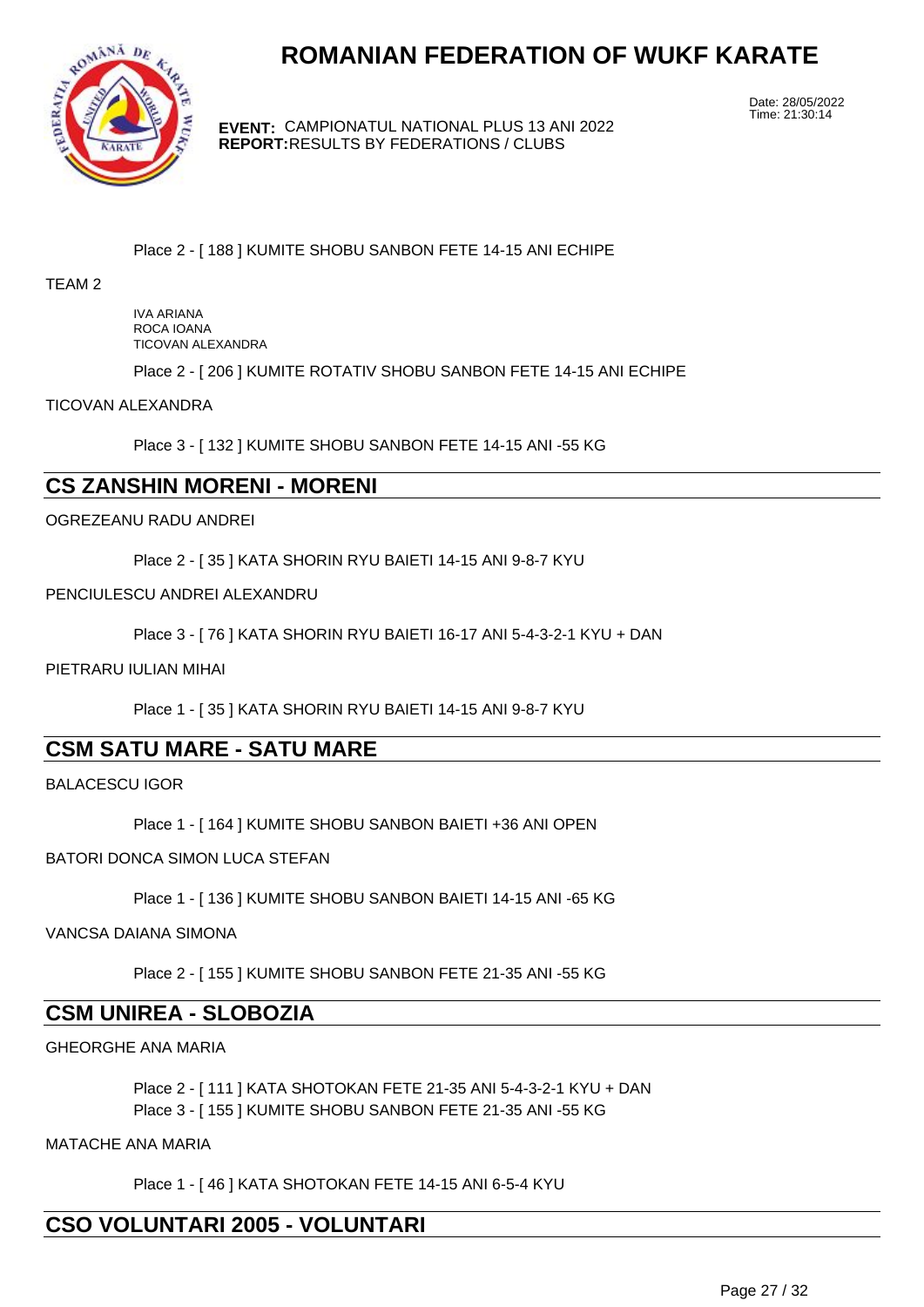

**EVENT:** CAMPIONATUL NATIONAL PLUS 13 ANI 2022 **REPORT:** RESULTS BY FEDERATIONS / CLUBS

Date: 28/05/2022 Time: 21:30:14

#### Place 2 - [ 188 ] KUMITE SHOBU SANBON FETE 14-15 ANI ECHIPE

#### TEAM 2

IVA ARIANA ROCA IOANA TICOVAN ALEXANDRA

Place 2 - [ 206 ] KUMITE ROTATIV SHOBU SANBON FETE 14-15 ANI ECHIPE

#### TICOVAN ALEXANDRA

Place 3 - [ 132 ] KUMITE SHOBU SANBON FETE 14-15 ANI -55 KG

### **CS ZANSHIN MORENI - MORENI**

#### OGREZEANU RADU ANDREI

Place 2 - [ 35 ] KATA SHORIN RYU BAIETI 14-15 ANI 9-8-7 KYU

#### PENCIULESCU ANDREI ALEXANDRU

Place 3 - [ 76 ] KATA SHORIN RYU BAIETI 16-17 ANI 5-4-3-2-1 KYU + DAN

#### PIETRARU IULIAN MIHAI

Place 1 - [ 35 ] KATA SHORIN RYU BAIETI 14-15 ANI 9-8-7 KYU

## **CSM SATU MARE - SATU MARE**

BALACESCU IGOR

Place 1 - [ 164 ] KUMITE SHOBU SANBON BAIETI +36 ANI OPEN

#### BATORI DONCA SIMON LUCA STEFAN

Place 1 - [ 136 ] KUMITE SHOBU SANBON BAIETI 14-15 ANI -65 KG

#### VANCSA DAIANA SIMONA

Place 2 - [ 155 ] KUMITE SHOBU SANBON FETE 21-35 ANI -55 KG

## **CSM UNIREA - SLOBOZIA**

GHEORGHE ANA MARIA

Place 2 - [ 111 ] KATA SHOTOKAN FETE 21-35 ANI 5-4-3-2-1 KYU + DAN Place 3 - [ 155 ] KUMITE SHOBU SANBON FETE 21-35 ANI -55 KG

MATACHE ANA MARIA

Place 1 - [ 46 ] KATA SHOTOKAN FETE 14-15 ANI 6-5-4 KYU

## **CSO VOLUNTARI 2005 - VOLUNTARI**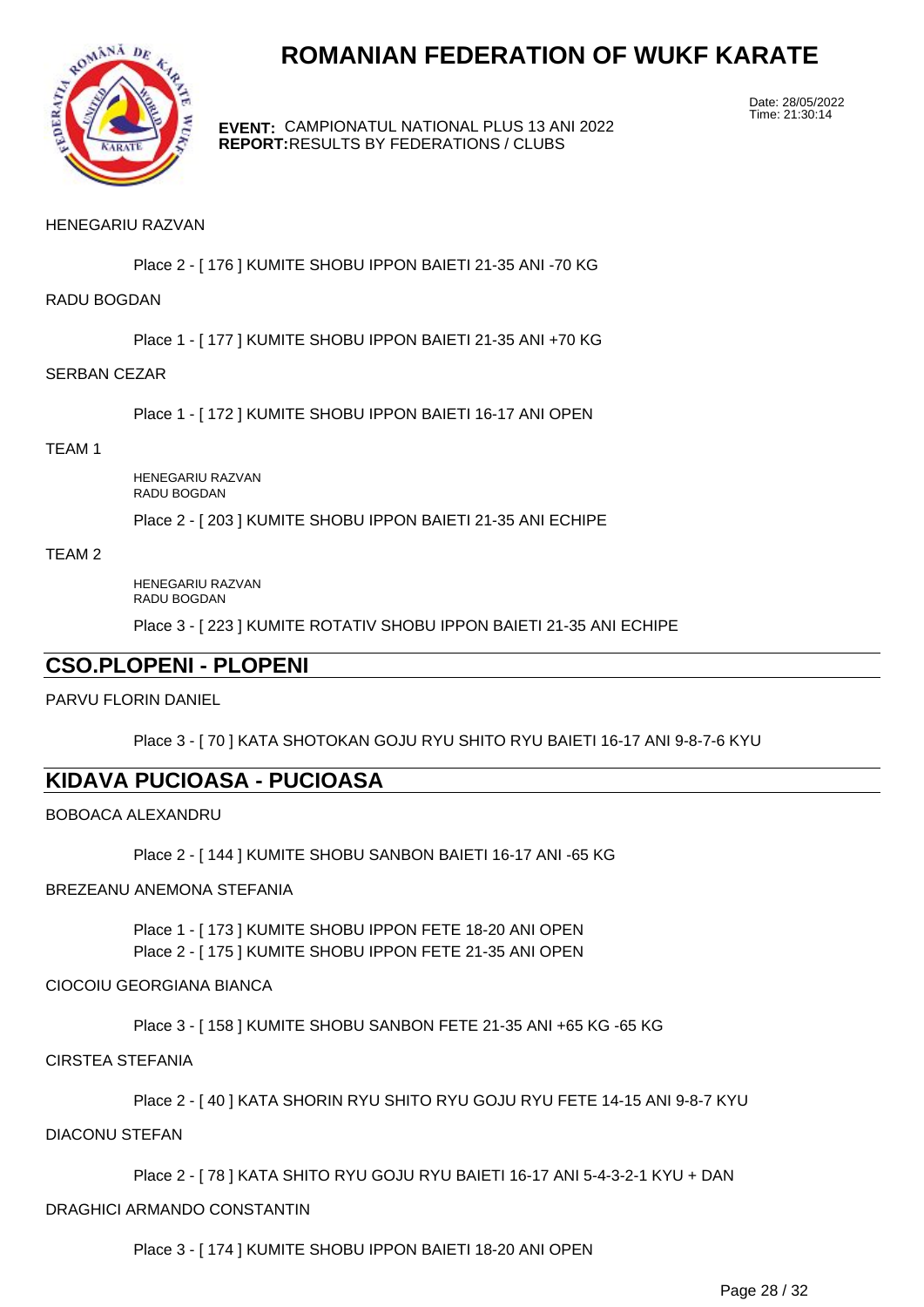

**EVENT:** CAMPIONATUL NATIONAL PLUS 13 ANI 2022 **REPORT:** RESULTS BY FEDERATIONS / CLUBS

Date: 28/05/2022 Time: 21:30:14

#### HENEGARIU RAZVAN

Place 2 - [ 176 ] KUMITE SHOBU IPPON BAIETI 21-35 ANI -70 KG

RADU BOGDAN

Place 1 - [ 177 ] KUMITE SHOBU IPPON BAIETI 21-35 ANI +70 KG

#### SERBAN CEZAR

Place 1 - [ 172 ] KUMITE SHOBU IPPON BAIETI 16-17 ANI OPEN

#### TEAM 1

HENEGARIU RAZVAN RADU BOGDAN

Place 2 - [ 203 ] KUMITE SHOBU IPPON BAIETI 21-35 ANI ECHIPE

#### TEAM 2

HENEGARIU RAZVAN RADU BOGDAN

Place 3 - [ 223 ] KUMITE ROTATIV SHOBU IPPON BAIETI 21-35 ANI ECHIPE

## **CSO.PLOPENI - PLOPENI**

PARVU FLORIN DANIEL

Place 3 - [ 70 ] KATA SHOTOKAN GOJU RYU SHITO RYU BAIETI 16-17 ANI 9-8-7-6 KYU

### **KIDAVA PUCIOASA - PUCIOASA**

BOBOACA ALEXANDRU

Place 2 - [ 144 ] KUMITE SHOBU SANBON BAIETI 16-17 ANI -65 KG

#### BREZEANU ANEMONA STEFANIA

Place 1 - [ 173 ] KUMITE SHOBU IPPON FETE 18-20 ANI OPEN Place 2 - [ 175 ] KUMITE SHOBU IPPON FETE 21-35 ANI OPEN

#### CIOCOIU GEORGIANA BIANCA

Place 3 - [ 158 ] KUMITE SHOBU SANBON FETE 21-35 ANI +65 KG -65 KG

#### CIRSTEA STEFANIA

Place 2 - [ 40 ] KATA SHORIN RYU SHITO RYU GOJU RYU FETE 14-15 ANI 9-8-7 KYU

DIACONU STEFAN

Place 2 - [ 78 ] KATA SHITO RYU GOJU RYU BAIETI 16-17 ANI 5-4-3-2-1 KYU + DAN

#### DRAGHICI ARMANDO CONSTANTIN

Place 3 - [ 174 ] KUMITE SHOBU IPPON BAIETI 18-20 ANI OPEN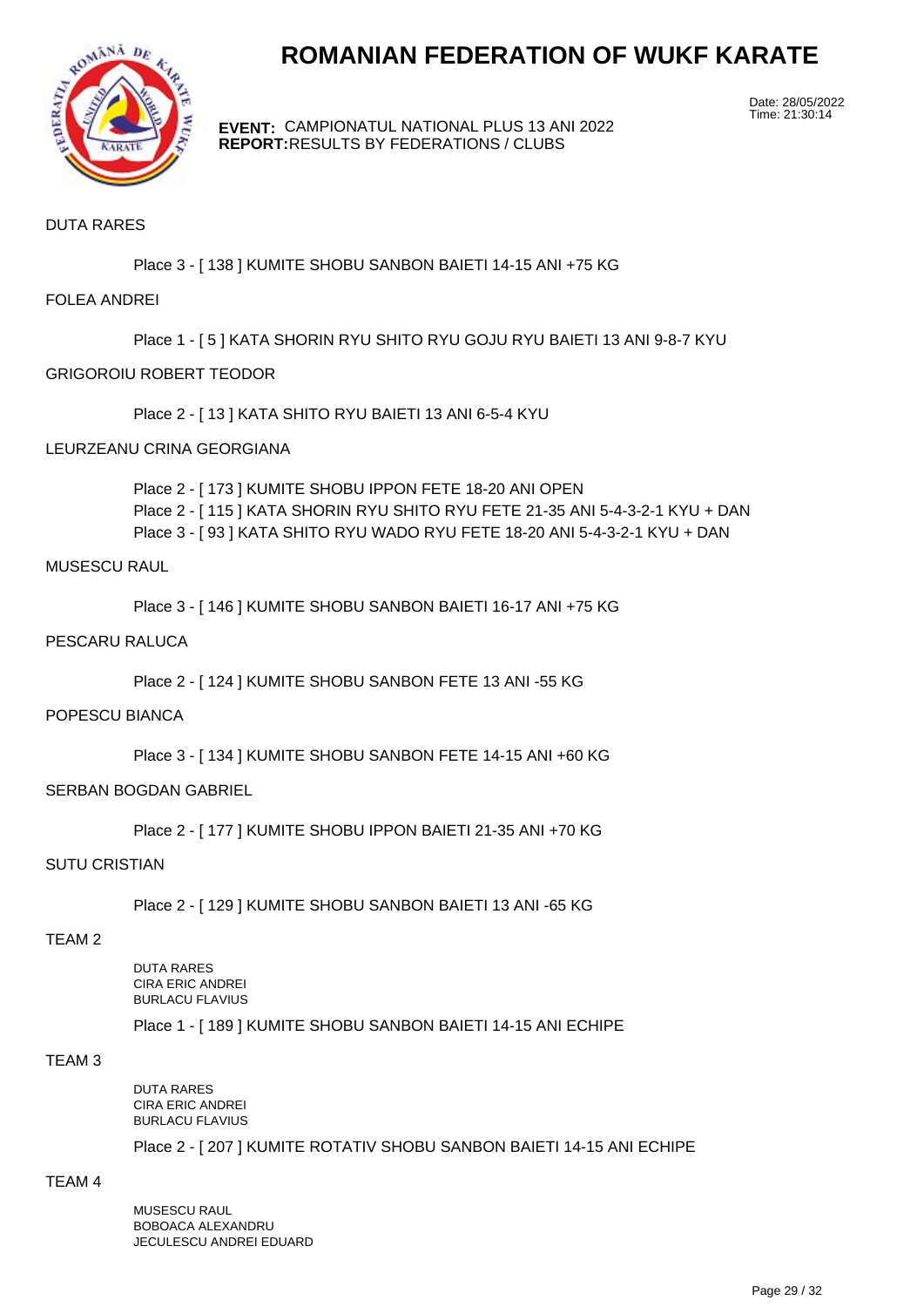

**EVENT:** CAMPIONATUL NATIONAL PLUS 13 ANI 2022 **REPORT:** RESULTS BY FEDERATIONS / CLUBS

Date: 28/05/2022 Time: 21:30:14

#### DUTA RARES

Place 3 - [ 138 ] KUMITE SHOBU SANBON BAIETI 14-15 ANI +75 KG

#### FOLEA ANDREI

Place 1 - [ 5 ] KATA SHORIN RYU SHITO RYU GOJU RYU BAIETI 13 ANI 9-8-7 KYU

#### GRIGOROIU ROBERT TEODOR

Place 2 - [ 13 ] KATA SHITO RYU BAIETI 13 ANI 6-5-4 KYU

#### LEURZEANU CRINA GEORGIANA

Place 2 - [ 173 ] KUMITE SHOBU IPPON FETE 18-20 ANI OPEN Place 2 - [ 115 ] KATA SHORIN RYU SHITO RYU FETE 21-35 ANI 5-4-3-2-1 KYU + DAN Place 3 - [ 93 ] KATA SHITO RYU WADO RYU FETE 18-20 ANI 5-4-3-2-1 KYU + DAN

#### MUSESCU RAUL

Place 3 - [ 146 ] KUMITE SHOBU SANBON BAIETI 16-17 ANI +75 KG

#### PESCARU RALUCA

Place 2 - [ 124 ] KUMITE SHOBU SANBON FETE 13 ANI -55 KG

#### POPESCU BIANCA

Place 3 - [ 134 ] KUMITE SHOBU SANBON FETE 14-15 ANI +60 KG

#### SERBAN BOGDAN GABRIEL

Place 2 - [ 177 ] KUMITE SHOBU IPPON BAIETI 21-35 ANI +70 KG

#### SUTU CRISTIAN

Place 2 - [ 129 ] KUMITE SHOBU SANBON BAIETI 13 ANI -65 KG

#### TEAM 2

DUTA RARES CIRA ERIC ANDREI BURLACU FLAVIUS Place 1 - [ 189 ] KUMITE SHOBU SANBON BAIETI 14-15 ANI ECHIPE

#### TEAM 3

DUTA RARES CIRA ERIC ANDREI BURLACU FLAVIUS

Place 2 - [ 207 ] KUMITE ROTATIV SHOBU SANBON BAIETI 14-15 ANI ECHIPE

### TEAM 4

MUSESCU RAUL BOBOACA ALEXANDRU JECULESCU ANDREI EDUARD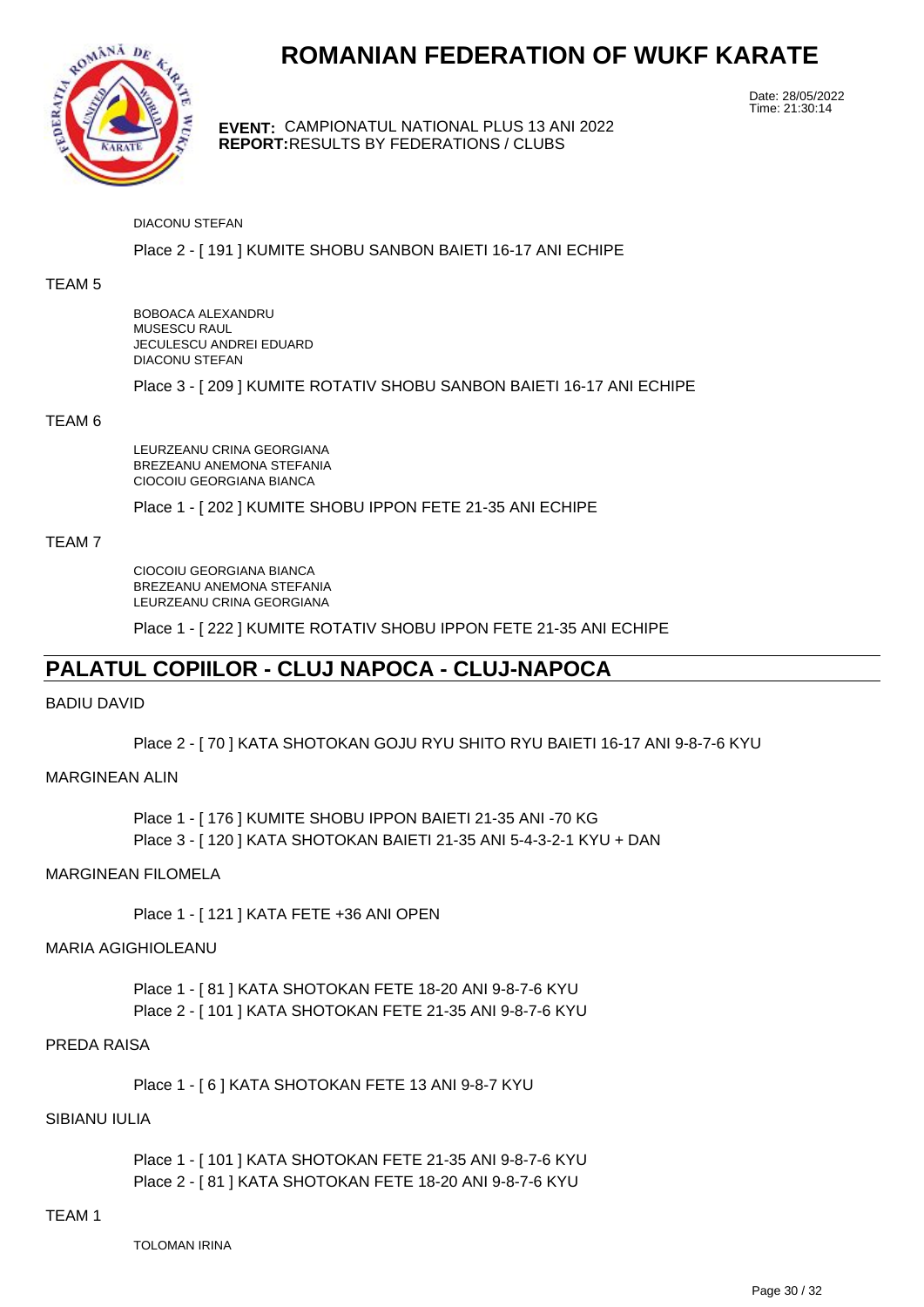

**EVENT:** CAMPIONATUL NATIONAL PLUS 13 ANI 2022 **REPORT:** RESULTS BY FEDERATIONS / CLUBS

Date: 28/05/2022 Time: 21:30:14

#### DIACONU STEFAN

#### Place 2 - [ 191 ] KUMITE SHOBU SANBON BAIETI 16-17 ANI ECHIPE

#### TEAM 5

BOBOACA ALEXANDRU MUSESCU RAUL JECULESCU ANDREI EDUARD DIACONU STEFAN

Place 3 - [ 209 ] KUMITE ROTATIV SHOBU SANBON BAIETI 16-17 ANI ECHIPE

#### TEAM 6

LEURZEANU CRINA GEORGIANA BREZEANU ANEMONA STEFANIA CIOCOIU GEORGIANA BIANCA

Place 1 - [ 202 ] KUMITE SHOBU IPPON FETE 21-35 ANI ECHIPE

#### TEAM 7

CIOCOIU GEORGIANA BIANCA BREZEANU ANEMONA STEFANIA LEURZEANU CRINA GEORGIANA

Place 1 - [ 222 ] KUMITE ROTATIV SHOBU IPPON FETE 21-35 ANI ECHIPE

## **PALATUL COPIILOR - CLUJ NAPOCA - CLUJ-NAPOCA**

#### BADIU DAVID

Place 2 - [ 70 ] KATA SHOTOKAN GOJU RYU SHITO RYU BAIETI 16-17 ANI 9-8-7-6 KYU

#### MARGINEAN ALIN

Place 1 - [ 176 ] KUMITE SHOBU IPPON BAIETI 21-35 ANI -70 KG Place 3 - [ 120 ] KATA SHOTOKAN BAIETI 21-35 ANI 5-4-3-2-1 KYU + DAN

#### MARGINEAN FILOMELA

Place 1 - [ 121 ] KATA FETE +36 ANI OPEN

#### MARIA AGIGHIOLEANU

Place 1 - [ 81 ] KATA SHOTOKAN FETE 18-20 ANI 9-8-7-6 KYU Place 2 - [ 101 ] KATA SHOTOKAN FETE 21-35 ANI 9-8-7-6 KYU

#### PREDA RAISA

Place 1 - [ 6 ] KATA SHOTOKAN FETE 13 ANI 9-8-7 KYU

#### SIBIANU IULIA

Place 1 - [ 101 ] KATA SHOTOKAN FETE 21-35 ANI 9-8-7-6 KYU Place 2 - [ 81 ] KATA SHOTOKAN FETE 18-20 ANI 9-8-7-6 KYU

#### TEAM 1

TOLOMAN IRINA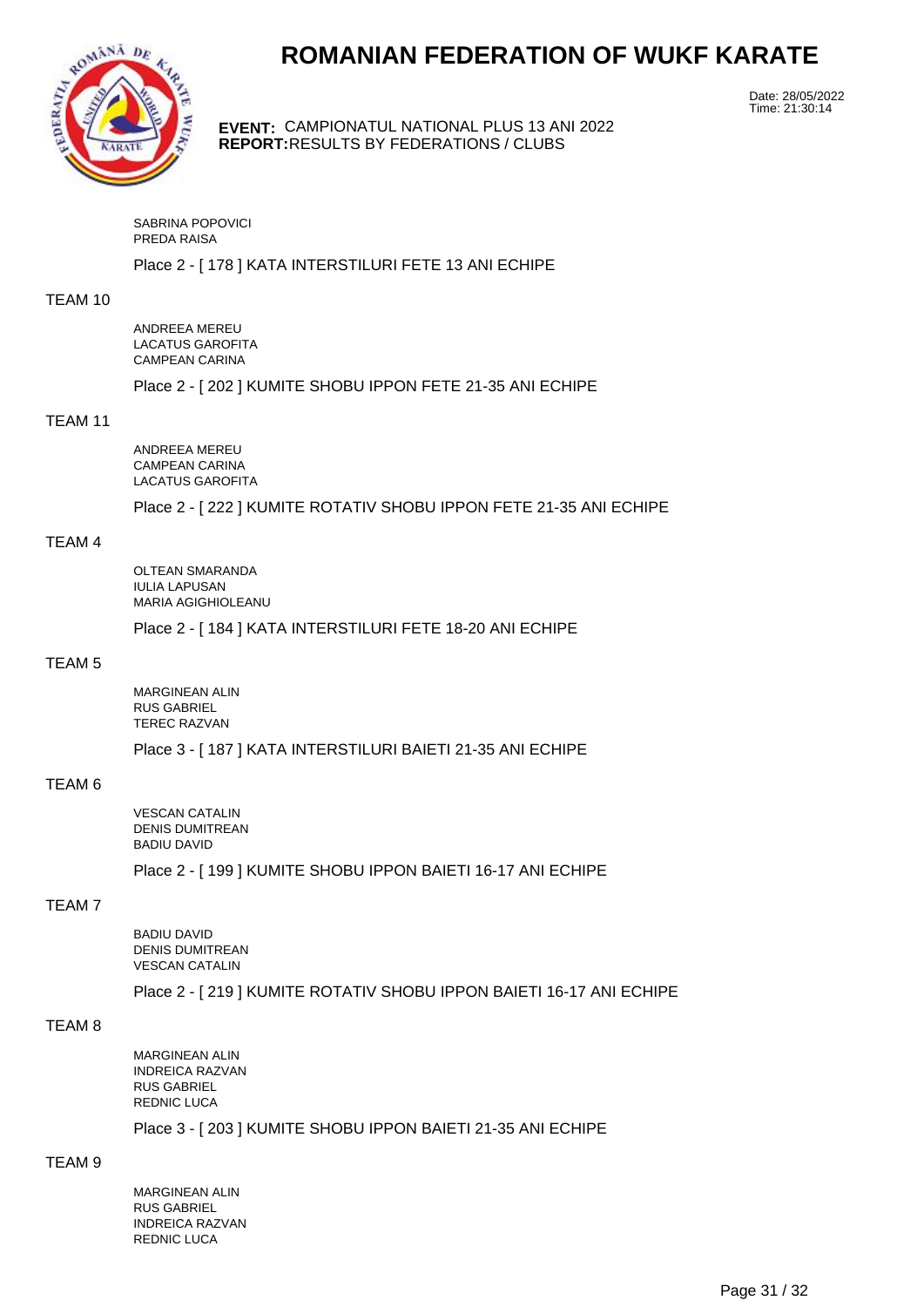

**EVENT:** CAMPIONATUL NATIONAL PLUS 13 ANI 2022 **REPORT:** RESULTS BY FEDERATIONS / CLUBS

Date: 28/05/2022 Time: 21:30:14

SABRINA POPOVICI PREDA RAISA

Place 2 - [ 178 ] KATA INTERSTILURI FETE 13 ANI ECHIPE

#### TEAM 10

ANDREEA MEREU LACATUS GAROFITA CAMPEAN CARINA

Place 2 - [ 202 ] KUMITE SHOBU IPPON FETE 21-35 ANI ECHIPE

#### TEAM 11

ANDREEA MEREU CAMPEAN CARINA LACATUS GAROFITA

Place 2 - [ 222 ] KUMITE ROTATIV SHOBU IPPON FETE 21-35 ANI ECHIPE

#### TEAM 4

OLTEAN SMARANDA IULIA LAPUSAN MARIA AGIGHIOLEANU

Place 2 - [ 184 ] KATA INTERSTILURI FETE 18-20 ANI ECHIPE

#### TEAM 5

MARGINEAN ALIN RUS GABRIEL TEREC RAZVAN

Place 3 - [ 187 ] KATA INTERSTILURI BAIETI 21-35 ANI ECHIPE

#### TEAM 6

VESCAN CATALIN DENIS DUMITREAN BADIU DAVID

Place 2 - [ 199 ] KUMITE SHOBU IPPON BAIETI 16-17 ANI ECHIPE

#### TEAM 7

BADIU DAVID DENIS DUMITREAN VESCAN CATALIN

Place 2 - [ 219 ] KUMITE ROTATIV SHOBU IPPON BAIETI 16-17 ANI ECHIPE

#### TEAM 8

MARGINEAN ALIN INDREICA RAZVAN RUS GABRIEL REDNIC LUCA

Place 3 - [ 203 ] KUMITE SHOBU IPPON BAIETI 21-35 ANI ECHIPE

#### TEAM 9

MARGINEAN ALIN RUS GABRIEL INDREICA RAZVAN REDNIC LUCA